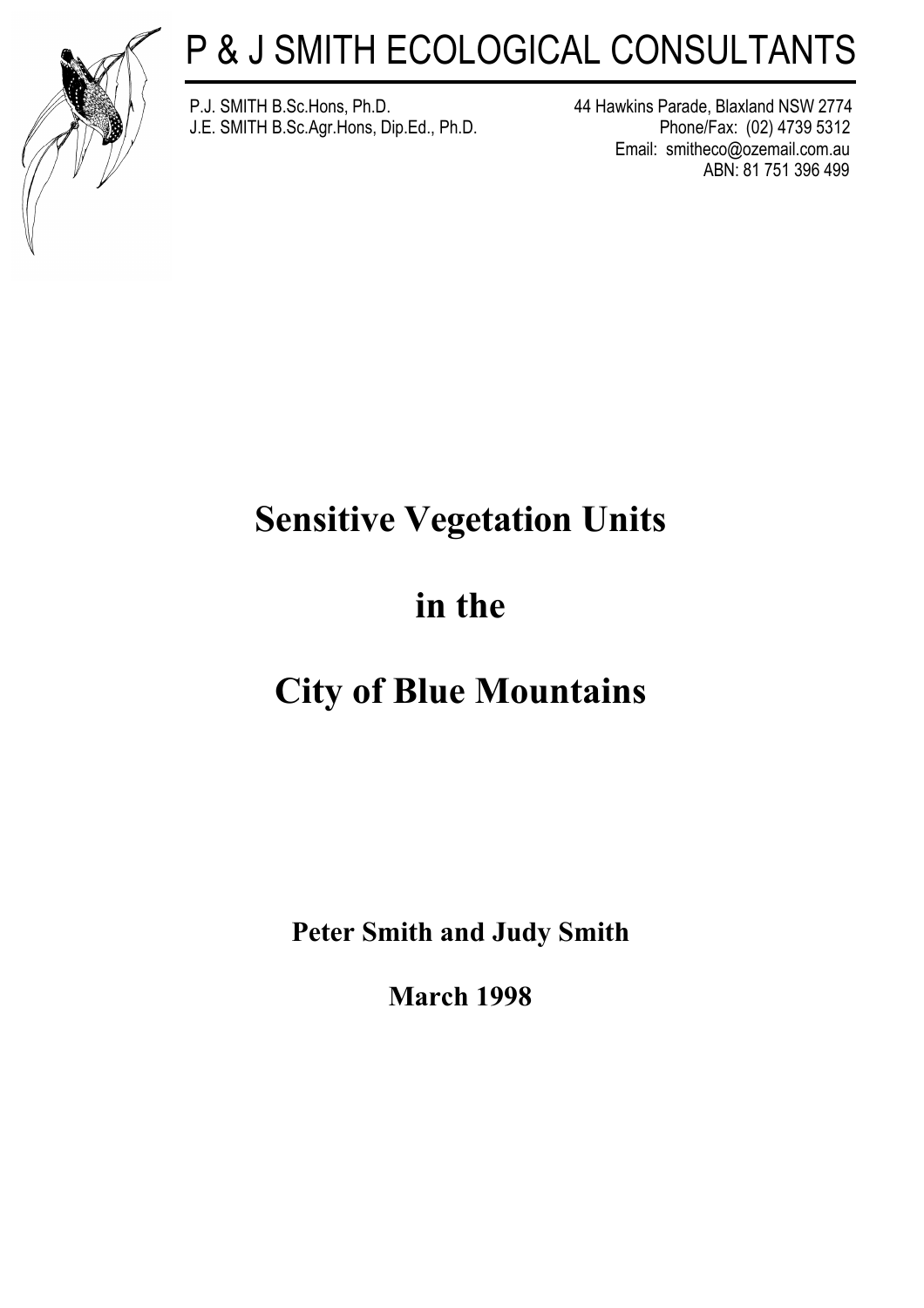

# P & J SMITH ECOLOGICAL CONSULTANTS

P.J. SMITH B.Sc.Hons, Ph.D. 44 Hawkins Parade, Blaxland NSW 2774 J.E. SMITH B.Sc.Agr.Hons, Dip.Ed., Ph.D. Phone/Fax: (02) 4739 5312

Email: smitheco@ozemail.com.au ABN: 81 751 396 499

## **Sensitive Vegetation Units**

## **in the**

## **City of Blue Mountains**

**Peter Smith and Judy Smith**

**March 1998**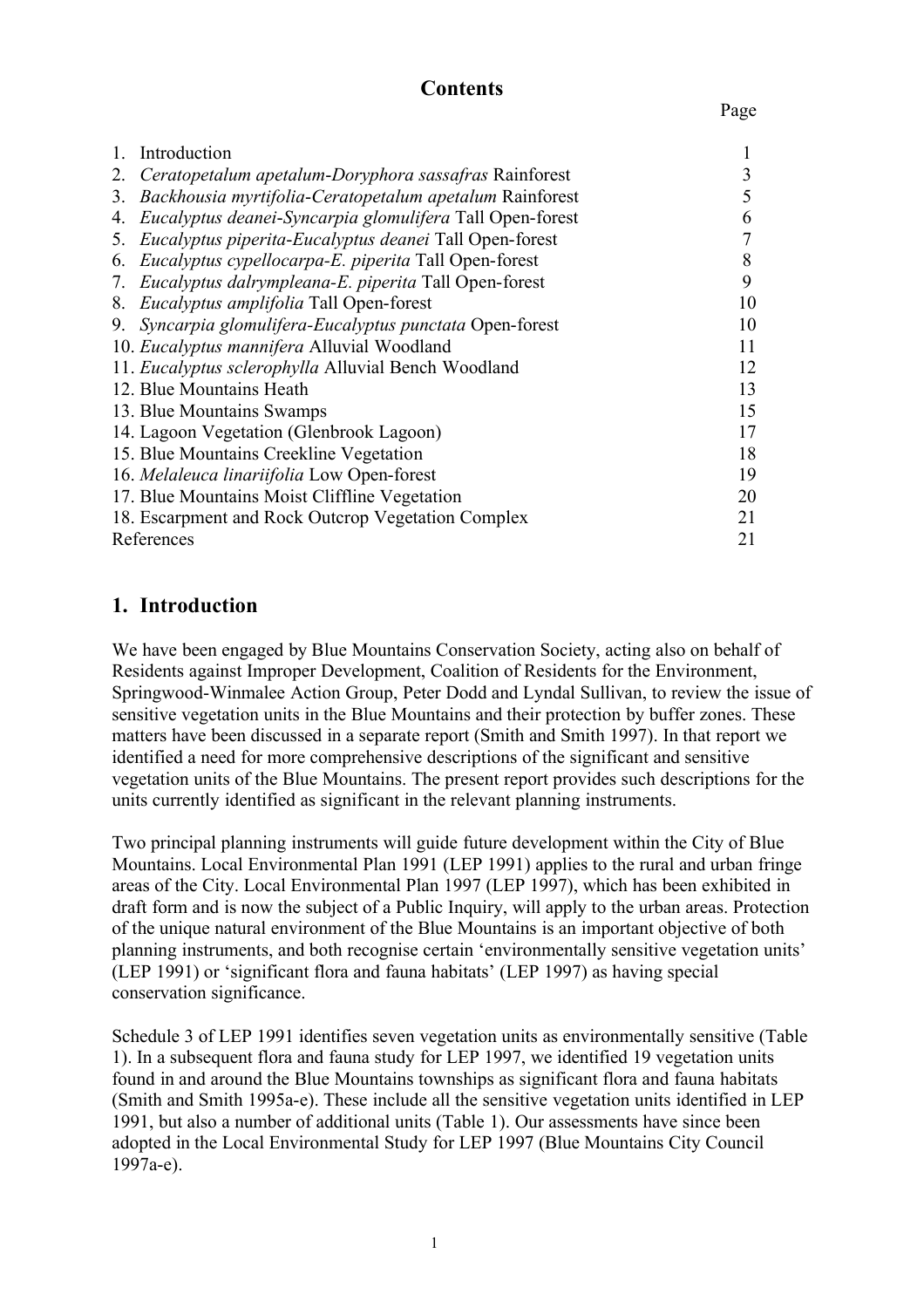## **Contents**

|    | Introduction                                             |    |
|----|----------------------------------------------------------|----|
|    | Ceratopetalum apetalum-Doryphora sassafras Rainforest    |    |
| 3. | Backhousia myrtifolia-Ceratopetalum apetalum Rainforest  |    |
| 4. | Eucalyptus deanei-Syncarpia glomulifera Tall Open-forest | 6  |
| 5. | Eucalyptus piperita-Eucalyptus deanei Tall Open-forest   |    |
| 6. | Eucalyptus cypellocarpa-E. piperita Tall Open-forest     | 8  |
| 7. | Eucalyptus dalrympleana-E. piperita Tall Open-forest     | 9  |
| 8. | Eucalyptus amplifolia Tall Open-forest                   | 10 |
| 9. | Syncarpia glomulifera-Eucalyptus punctata Open-forest    | 10 |
|    | 10. Eucalyptus mannifera Alluvial Woodland               | 11 |
|    | 11. Eucalyptus sclerophylla Alluvial Bench Woodland      | 12 |
|    | 12. Blue Mountains Heath                                 | 13 |
|    | 13. Blue Mountains Swamps                                | 15 |
|    | 14. Lagoon Vegetation (Glenbrook Lagoon)                 | 17 |
|    | 15. Blue Mountains Creekline Vegetation                  | 18 |
|    | 16. Melaleuca linariifolia Low Open-forest               | 19 |
|    | 17. Blue Mountains Moist Cliffline Vegetation            | 20 |
|    | 18. Escarpment and Rock Outcrop Vegetation Complex       | 21 |
|    | References                                               | 21 |

## **1. Introduction**

We have been engaged by Blue Mountains Conservation Society, acting also on behalf of Residents against Improper Development, Coalition of Residents for the Environment, Springwood-Winmalee Action Group, Peter Dodd and Lyndal Sullivan, to review the issue of sensitive vegetation units in the Blue Mountains and their protection by buffer zones. These matters have been discussed in a separate report (Smith and Smith 1997). In that report we identified a need for more comprehensive descriptions of the significant and sensitive vegetation units of the Blue Mountains. The present report provides such descriptions for the units currently identified as significant in the relevant planning instruments.

Two principal planning instruments will guide future development within the City of Blue Mountains. Local Environmental Plan 1991 (LEP 1991) applies to the rural and urban fringe areas of the City. Local Environmental Plan 1997 (LEP 1997), which has been exhibited in draft form and is now the subject of a Public Inquiry, will apply to the urban areas. Protection of the unique natural environment of the Blue Mountains is an important objective of both planning instruments, and both recognise certain 'environmentally sensitive vegetation units' (LEP 1991) or 'significant flora and fauna habitats' (LEP 1997) as having special conservation significance.

Schedule 3 of LEP 1991 identifies seven vegetation units as environmentally sensitive (Table 1). In a subsequent flora and fauna study for LEP 1997, we identified 19 vegetation units found in and around the Blue Mountains townships as significant flora and fauna habitats (Smith and Smith 1995a-e). These include all the sensitive vegetation units identified in LEP 1991, but also a number of additional units (Table 1). Our assessments have since been adopted in the Local Environmental Study for LEP 1997 (Blue Mountains City Council 1997a-e).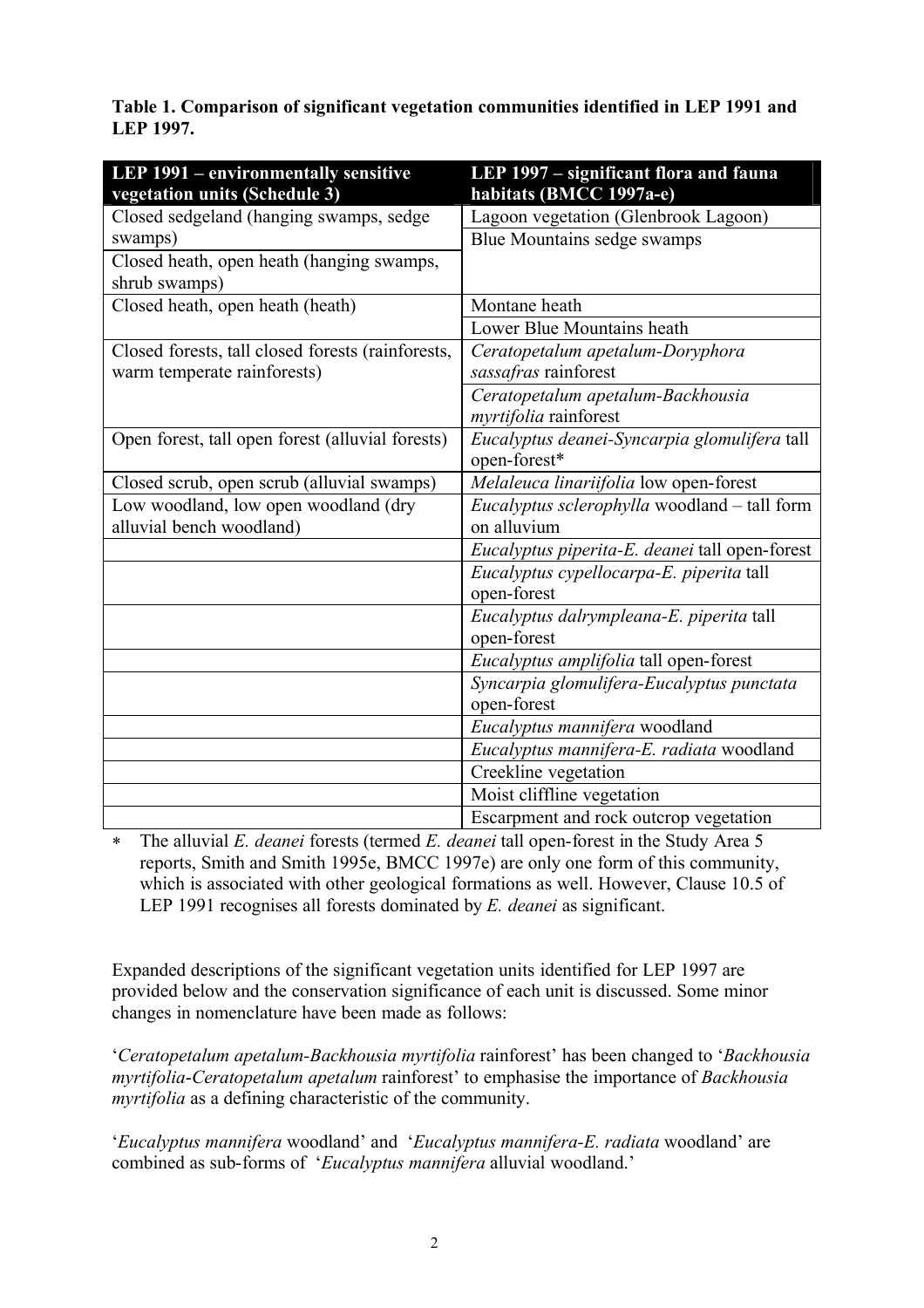**Table 1. Comparison of significant vegetation communities identified in LEP 1991 and LEP 1997.** 

| LEP 1991 – environmentally sensitive              | LEP 1997 – significant flora and fauna         |
|---------------------------------------------------|------------------------------------------------|
| vegetation units (Schedule 3)                     | habitats (BMCC 1997a-e)                        |
| Closed sedgeland (hanging swamps, sedge           | Lagoon vegetation (Glenbrook Lagoon)           |
| swamps)                                           | Blue Mountains sedge swamps                    |
| Closed heath, open heath (hanging swamps,         |                                                |
| shrub swamps)                                     |                                                |
| Closed heath, open heath (heath)                  | Montane heath                                  |
|                                                   | Lower Blue Mountains heath                     |
| Closed forests, tall closed forests (rainforests, | Ceratopetalum apetalum-Doryphora               |
| warm temperate rainforests)                       | sassafras rainforest                           |
|                                                   | Ceratopetalum apetalum-Backhousia              |
|                                                   | myrtifolia rainforest                          |
| Open forest, tall open forest (alluvial forests)  | Eucalyptus deanei-Syncarpia glomulifera tall   |
|                                                   | open-forest*                                   |
| Closed scrub, open scrub (alluvial swamps)        | Melaleuca linariifolia low open-forest         |
| Low woodland, low open woodland (dry              | Eucalyptus sclerophylla woodland - tall form   |
| alluvial bench woodland)                          | on alluvium                                    |
|                                                   | Eucalyptus piperita-E. deanei tall open-forest |
|                                                   | Eucalyptus cypellocarpa-E. piperita tall       |
|                                                   | open-forest                                    |
|                                                   | Eucalyptus dalrympleana-E. piperita tall       |
|                                                   | open-forest                                    |
|                                                   | Eucalyptus amplifolia tall open-forest         |
|                                                   | Syncarpia glomulifera-Eucalyptus punctata      |
|                                                   | open-forest                                    |
|                                                   | Eucalyptus mannifera woodland                  |
|                                                   | Eucalyptus mannifera-E. radiata woodland       |
|                                                   | Creekline vegetation                           |
|                                                   | Moist cliffline vegetation                     |
|                                                   | Escarpment and rock outcrop vegetation         |

The alluvial *E. deanei* forests (termed *E. deanei* tall open-forest in the Study Area 5 reports, Smith and Smith 1995e, BMCC 1997e) are only one form of this community, which is associated with other geological formations as well. However, Clause 10.5 of LEP 1991 recognises all forests dominated by *E. deanei* as significant.

Expanded descriptions of the significant vegetation units identified for LEP 1997 are provided below and the conservation significance of each unit is discussed. Some minor changes in nomenclature have been made as follows:

'*Ceratopetalum apetalum-Backhousia myrtifolia* rainforest' has been changed to '*Backhousia myrtifolia*-*Ceratopetalum apetalum* rainforest' to emphasise the importance of *Backhousia myrtifolia* as a defining characteristic of the community.

'*Eucalyptus mannifera* woodland' and '*Eucalyptus mannifera-E. radiata* woodland' are combined as sub-forms of '*Eucalyptus mannifera* alluvial woodland.'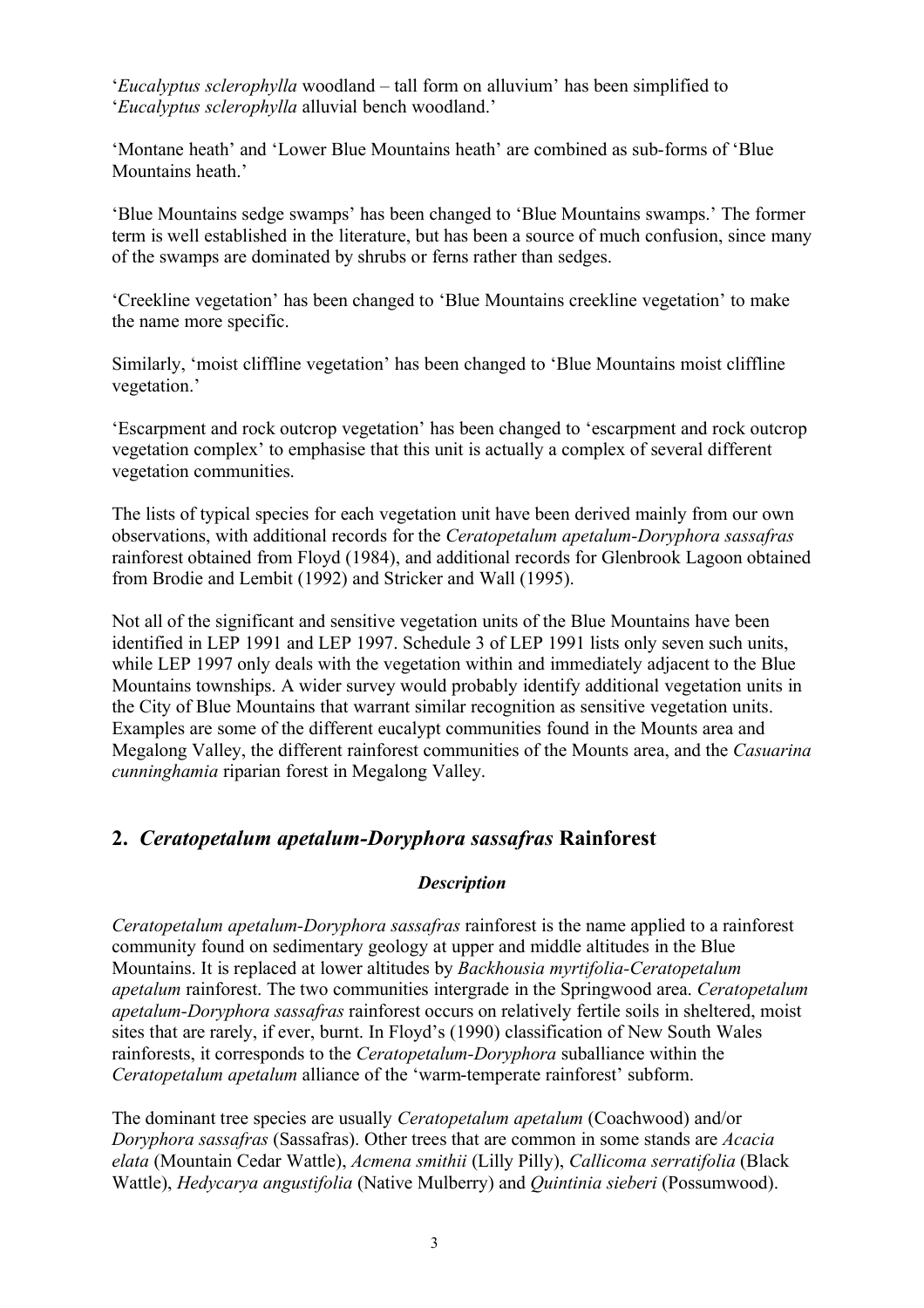'*Eucalyptus sclerophylla* woodland – tall form on alluvium' has been simplified to '*Eucalyptus sclerophylla* alluvial bench woodland.'

'Montane heath' and 'Lower Blue Mountains heath' are combined as sub-forms of 'Blue Mountains heath<sup>'</sup>

'Blue Mountains sedge swamps' has been changed to 'Blue Mountains swamps.' The former term is well established in the literature, but has been a source of much confusion, since many of the swamps are dominated by shrubs or ferns rather than sedges.

'Creekline vegetation' has been changed to 'Blue Mountains creekline vegetation' to make the name more specific.

Similarly, 'moist cliffline vegetation' has been changed to 'Blue Mountains moist cliffline vegetation.'

'Escarpment and rock outcrop vegetation' has been changed to 'escarpment and rock outcrop vegetation complex' to emphasise that this unit is actually a complex of several different vegetation communities.

The lists of typical species for each vegetation unit have been derived mainly from our own observations, with additional records for the *Ceratopetalum apetalum-Doryphora sassafras* rainforest obtained from Floyd (1984), and additional records for Glenbrook Lagoon obtained from Brodie and Lembit (1992) and Stricker and Wall (1995).

Not all of the significant and sensitive vegetation units of the Blue Mountains have been identified in LEP 1991 and LEP 1997. Schedule 3 of LEP 1991 lists only seven such units, while LEP 1997 only deals with the vegetation within and immediately adjacent to the Blue Mountains townships. A wider survey would probably identify additional vegetation units in the City of Blue Mountains that warrant similar recognition as sensitive vegetation units. Examples are some of the different eucalypt communities found in the Mounts area and Megalong Valley, the different rainforest communities of the Mounts area, and the *Casuarina cunninghamia* riparian forest in Megalong Valley.

## **2.** *Ceratopetalum apetalum-Doryphora sassafras* **Rainforest**

### *Description*

*Ceratopetalum apetalum-Doryphora sassafras* rainforest is the name applied to a rainforest community found on sedimentary geology at upper and middle altitudes in the Blue Mountains. It is replaced at lower altitudes by *Backhousia myrtifolia-Ceratopetalum apetalum* rainforest. The two communities intergrade in the Springwood area. *Ceratopetalum apetalum-Doryphora sassafras* rainforest occurs on relatively fertile soils in sheltered, moist sites that are rarely, if ever, burnt. In Floyd's (1990) classification of New South Wales rainforests, it corresponds to the *Ceratopetalum-Doryphora* suballiance within the *Ceratopetalum apetalum* alliance of the 'warm-temperate rainforest' subform.

The dominant tree species are usually *Ceratopetalum apetalum* (Coachwood) and/or *Doryphora sassafras* (Sassafras). Other trees that are common in some stands are *Acacia elata* (Mountain Cedar Wattle), *Acmena smithii* (Lilly Pilly), *Callicoma serratifolia* (Black Wattle), *Hedycarya angustifolia* (Native Mulberry) and *Quintinia sieberi* (Possumwood).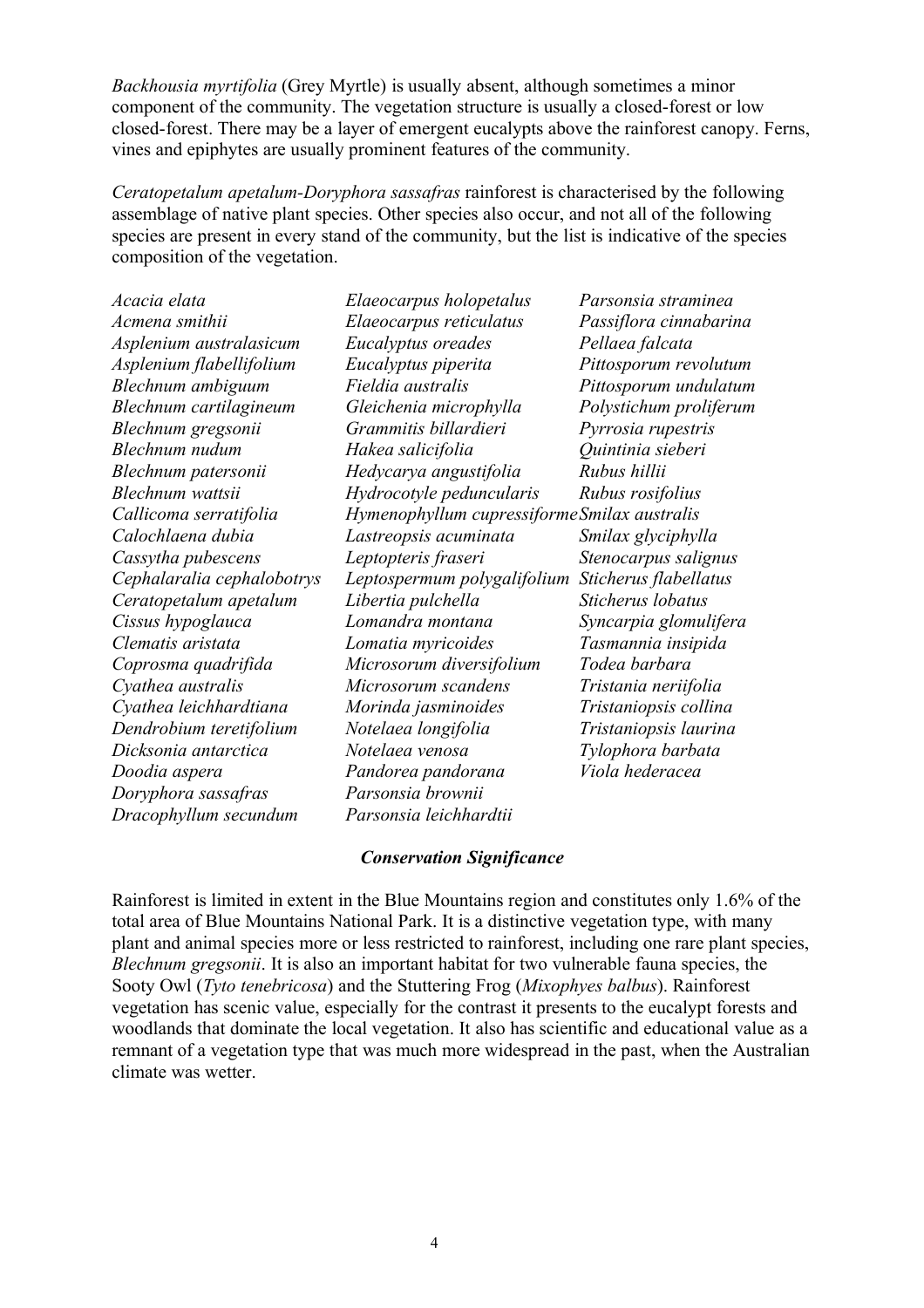*Backhousia myrtifolia* (Grey Myrtle) is usually absent, although sometimes a minor component of the community. The vegetation structure is usually a closed-forest or low closed-forest. There may be a layer of emergent eucalypts above the rainforest canopy. Ferns, vines and epiphytes are usually prominent features of the community.

*Ceratopetalum apetalum-Doryphora sassafras* rainforest is characterised by the following assemblage of native plant species. Other species also occur, and not all of the following species are present in every stand of the community, but the list is indicative of the species composition of the vegetation.

*Acacia elata Acmena smithii Asplenium australasicum Asplenium flabellifolium Blechnum ambiguum Blechnum cartilagineum Blechnum gregsonii Blechnum nudum Blechnum patersonii Blechnum wattsii Callicoma serratifolia Calochlaena dubia Cassytha pubescens Cephalaralia cephalobotrys Ceratopetalum apetalum Cissus hypoglauca Clematis aristata Coprosma quadrifida Cyathea australis Cyathea leichhardtiana Dendrobium teretifolium Dicksonia antarctica Doodia aspera Doryphora sassafras Dracophyllum secundum*

*Elaeocarpus holopetalus Elaeocarpus reticulatus Eucalyptus oreades Eucalyptus piperita Fieldia australis Gleichenia microphylla Grammitis billardieri Hakea salicifolia Hedycarya angustifolia Hydrocotyle peduncularis Hymenophyllum cupressiforme Smilax australis Lastreopsis acuminata Leptopteris fraseri Leptospermum polygalifolium Sticherus flabellatus Libertia pulchella Lomandra montana Lomatia myricoides Microsorum diversifolium Microsorum scandens Morinda jasminoides Notelaea longifolia Notelaea venosa Pandorea pandorana Parsonsia brownii Parsonsia leichhardtii*

*Parsonsia straminea Passiflora cinnabarina Pellaea falcata Pittosporum revolutum Pittosporum undulatum Polystichum proliferum Pyrrosia rupestris Quintinia sieberi Rubus hillii Rubus rosifolius Smilax glyciphylla Stenocarpus salignus Sticherus lobatus Syncarpia glomulifera Tasmannia insipida Todea barbara Tristania neriifolia Tristaniopsis collina Tristaniopsis laurina Tylophora barbata Viola hederacea*

#### *Conservation Significance*

Rainforest is limited in extent in the Blue Mountains region and constitutes only 1.6% of the total area of Blue Mountains National Park. It is a distinctive vegetation type, with many plant and animal species more or less restricted to rainforest, including one rare plant species, *Blechnum gregsonii*. It is also an important habitat for two vulnerable fauna species, the Sooty Owl (*Tyto tenebricosa*) and the Stuttering Frog (*Mixophyes balbus*). Rainforest vegetation has scenic value, especially for the contrast it presents to the eucalypt forests and woodlands that dominate the local vegetation. It also has scientific and educational value as a remnant of a vegetation type that was much more widespread in the past, when the Australian climate was wetter.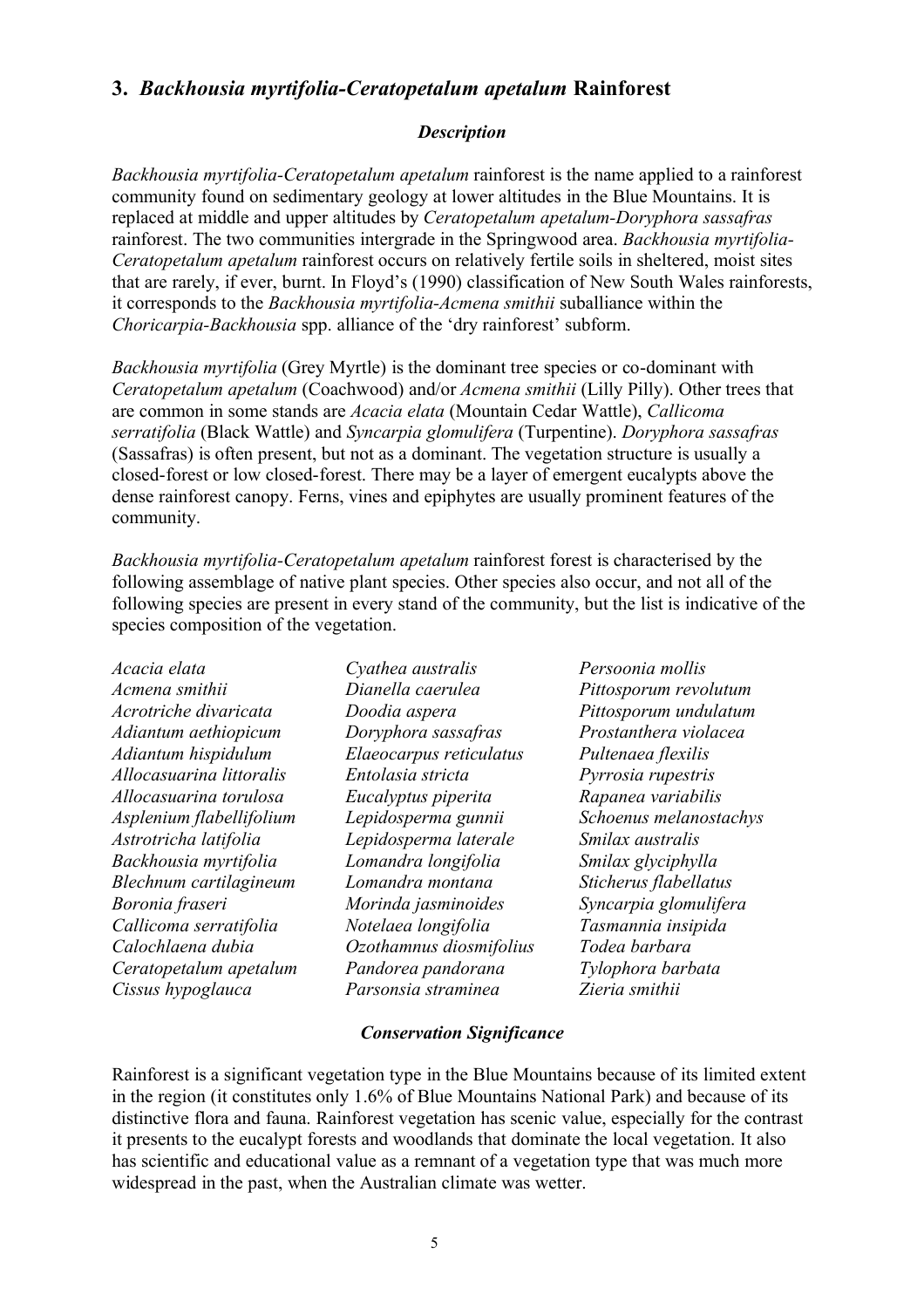## **3.** *Backhousia myrtifolia-Ceratopetalum apetalum* **Rainforest**

#### *Description*

*Backhousia myrtifolia-Ceratopetalum apetalum* rainforest is the name applied to a rainforest community found on sedimentary geology at lower altitudes in the Blue Mountains. It is replaced at middle and upper altitudes by *Ceratopetalum apetalum-Doryphora sassafras* rainforest. The two communities intergrade in the Springwood area. *Backhousia myrtifolia-Ceratopetalum apetalum* rainforest occurs on relatively fertile soils in sheltered, moist sites that are rarely, if ever, burnt. In Floyd's (1990) classification of New South Wales rainforests, it corresponds to the *Backhousia myrtifolia-Acmena smithii* suballiance within the *Choricarpia-Backhousia* spp. alliance of the 'dry rainforest' subform.

*Backhousia myrtifolia* (Grey Myrtle) is the dominant tree species or co-dominant with *Ceratopetalum apetalum* (Coachwood) and/or *Acmena smithii* (Lilly Pilly). Other trees that are common in some stands are *Acacia elata* (Mountain Cedar Wattle), *Callicoma serratifolia* (Black Wattle) and *Syncarpia glomulifera* (Turpentine). *Doryphora sassafras* (Sassafras) is often present, but not as a dominant. The vegetation structure is usually a closed-forest or low closed-forest. There may be a layer of emergent eucalypts above the dense rainforest canopy. Ferns, vines and epiphytes are usually prominent features of the community.

*Backhousia myrtifolia-Ceratopetalum apetalum* rainforest forest is characterised by the following assemblage of native plant species. Other species also occur, and not all of the following species are present in every stand of the community, but the list is indicative of the species composition of the vegetation.

*Acacia elata Acmena smithii Acrotriche divaricata Adiantum aethiopicum Adiantum hispidulum Allocasuarina littoralis Allocasuarina torulosa Asplenium flabellifolium Astrotricha latifolia Backhousia myrtifolia Blechnum cartilagineum Boronia fraseri Callicoma serratifolia Calochlaena dubia Ceratopetalum apetalum Cissus hypoglauca*

*Cyathea australis Dianella caerulea Doodia aspera Doryphora sassafras Elaeocarpus reticulatus Entolasia stricta Eucalyptus piperita Lepidosperma gunnii Lepidosperma laterale Lomandra longifolia Lomandra montana Morinda jasminoides Notelaea longifolia Ozothamnus diosmifolius Pandorea pandorana Parsonsia straminea*

*Persoonia mollis Pittosporum revolutum Pittosporum undulatum Prostanthera violacea Pultenaea flexilis Pyrrosia rupestris Rapanea variabilis Schoenus melanostachys Smilax australis Smilax glyciphylla Sticherus flabellatus Syncarpia glomulifera Tasmannia insipida Todea barbara Tylophora barbata Zieria smithii*

#### *Conservation Significance*

Rainforest is a significant vegetation type in the Blue Mountains because of its limited extent in the region (it constitutes only 1.6% of Blue Mountains National Park) and because of its distinctive flora and fauna. Rainforest vegetation has scenic value, especially for the contrast it presents to the eucalypt forests and woodlands that dominate the local vegetation. It also has scientific and educational value as a remnant of a vegetation type that was much more widespread in the past, when the Australian climate was wetter.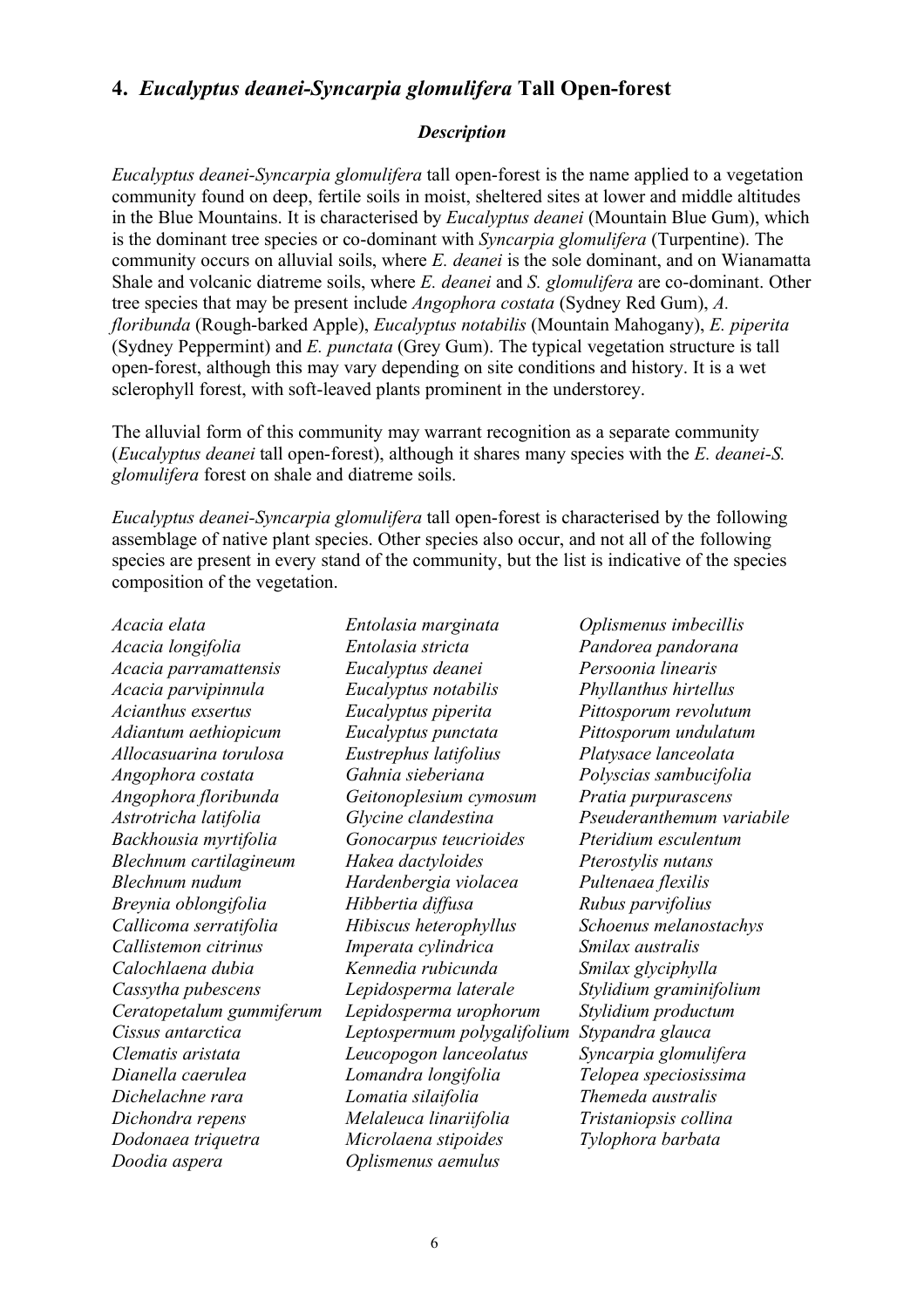## **4.** *Eucalyptus deanei-Syncarpia glomulifera* **Tall Open-forest**

#### *Description*

*Eucalyptus deanei-Syncarpia glomulifera* tall open-forest is the name applied to a vegetation community found on deep, fertile soils in moist, sheltered sites at lower and middle altitudes in the Blue Mountains. It is characterised by *Eucalyptus deanei* (Mountain Blue Gum), which is the dominant tree species or co-dominant with *Syncarpia glomulifera* (Turpentine). The community occurs on alluvial soils, where *E. deanei* is the sole dominant, and on Wianamatta Shale and volcanic diatreme soils, where *E. deanei* and *S. glomulifera* are co-dominant. Other tree species that may be present include *Angophora costata* (Sydney Red Gum), *A. floribunda* (Rough-barked Apple), *Eucalyptus notabilis* (Mountain Mahogany), *E. piperita* (Sydney Peppermint) and *E. punctata* (Grey Gum). The typical vegetation structure is tall open-forest, although this may vary depending on site conditions and history. It is a wet sclerophyll forest, with soft-leaved plants prominent in the understorey.

The alluvial form of this community may warrant recognition as a separate community (*Eucalyptus deanei* tall open-forest), although it shares many species with the *E. deanei-S. glomulifera* forest on shale and diatreme soils.

*Eucalyptus deanei-Syncarpia glomulifera* tall open-forest is characterised by the following assemblage of native plant species. Other species also occur, and not all of the following species are present in every stand of the community, but the list is indicative of the species composition of the vegetation.

*Acacia elata Acacia longifolia Acacia parramattensis Acacia parvipinnula Acianthus exsertus Adiantum aethiopicum Allocasuarina torulosa Angophora costata Angophora floribunda Astrotricha latifolia Backhousia myrtifolia Blechnum cartilagineum Blechnum nudum Breynia oblongifolia Callicoma serratifolia Callistemon citrinus Calochlaena dubia Cassytha pubescens Ceratopetalum gummiferum Cissus antarctica Clematis aristata Dianella caerulea Dichelachne rara Dichondra repens Dodonaea triquetra Doodia aspera*

*Entolasia marginata Entolasia stricta Eucalyptus deanei Eucalyptus notabilis Eucalyptus piperita Eucalyptus punctata Eustrephus latifolius Gahnia sieberiana Geitonoplesium cymosum Glycine clandestina Gonocarpus teucrioides Hakea dactyloides Hardenbergia violacea Hibbertia diffusa Hibiscus heterophyllus Imperata cylindrica Kennedia rubicunda Lepidosperma laterale Lepidosperma urophorum Leptospermum polygalifolium Leucopogon lanceolatus Lomandra longifolia Lomatia silaifolia Melaleuca linariifolia Microlaena stipoides Oplismenus aemulus*

*Oplismenus imbecillis Pandorea pandorana Persoonia linearis Phyllanthus hirtellus Pittosporum revolutum Pittosporum undulatum Platysace lanceolata Polyscias sambucifolia Pratia purpurascens Pseuderanthemum variabile Pteridium esculentum Pterostylis nutans Pultenaea flexilis Rubus parvifolius Schoenus melanostachys Smilax australis Smilax glyciphylla Stylidium graminifolium Stylidium productum Stypandra glauca Syncarpia glomulifera Telopea speciosissima Themeda australis Tristaniopsis collina Tylophora barbata*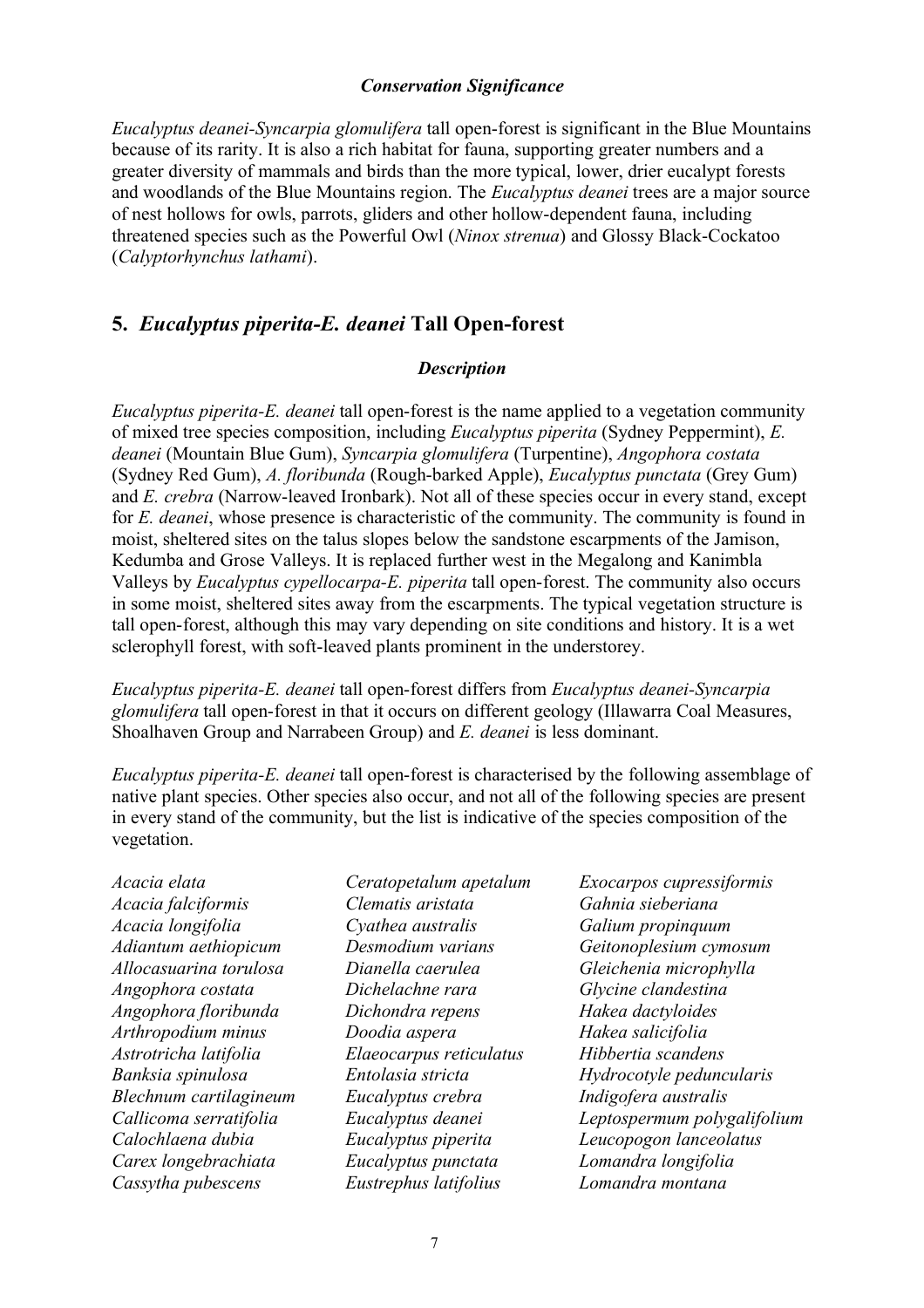#### *Conservation Significance*

*Eucalyptus deanei-Syncarpia glomulifera* tall open-forest is significant in the Blue Mountains because of its rarity. It is also a rich habitat for fauna, supporting greater numbers and a greater diversity of mammals and birds than the more typical, lower, drier eucalypt forests and woodlands of the Blue Mountains region. The *Eucalyptus deanei* trees are a major source of nest hollows for owls, parrots, gliders and other hollow-dependent fauna, including threatened species such as the Powerful Owl (*Ninox strenua*) and Glossy Black-Cockatoo (*Calyptorhynchus lathami*).

## **5.** *Eucalyptus piperita-E. deanei* **Tall Open-forest**

#### *Description*

*Eucalyptus piperita-E. deanei* tall open-forest is the name applied to a vegetation community of mixed tree species composition, including *Eucalyptus piperita* (Sydney Peppermint), *E. deanei* (Mountain Blue Gum), *Syncarpia glomulifera* (Turpentine), *Angophora costata* (Sydney Red Gum), *A. floribunda* (Rough-barked Apple), *Eucalyptus punctata* (Grey Gum) and *E. crebra* (Narrow-leaved Ironbark). Not all of these species occur in every stand, except for *E. deanei*, whose presence is characteristic of the community. The community is found in moist, sheltered sites on the talus slopes below the sandstone escarpments of the Jamison, Kedumba and Grose Valleys. It is replaced further west in the Megalong and Kanimbla Valleys by *Eucalyptus cypellocarpa-E. piperita* tall open-forest. The community also occurs in some moist, sheltered sites away from the escarpments. The typical vegetation structure is tall open-forest, although this may vary depending on site conditions and history. It is a wet sclerophyll forest, with soft-leaved plants prominent in the understorey.

*Eucalyptus piperita-E. deanei* tall open-forest differs from *Eucalyptus deanei-Syncarpia glomulifera* tall open-forest in that it occurs on different geology (Illawarra Coal Measures, Shoalhaven Group and Narrabeen Group) and *E. deanei* is less dominant.

*Eucalyptus piperita-E. deanei* tall open-forest is characterised by the following assemblage of native plant species. Other species also occur, and not all of the following species are present in every stand of the community, but the list is indicative of the species composition of the vegetation.

*Acacia elata Acacia falciformis Acacia longifolia Adiantum aethiopicum Allocasuarina torulosa Angophora costata Angophora floribunda Arthropodium minus Astrotricha latifolia Banksia spinulosa Blechnum cartilagineum Callicoma serratifolia Calochlaena dubia Carex longebrachiata Cassytha pubescens*

*Ceratopetalum apetalum Clematis aristata Cyathea australis Desmodium varians Dianella caerulea Dichelachne rara Dichondra repens Doodia aspera Elaeocarpus reticulatus Entolasia stricta Eucalyptus crebra Eucalyptus deanei Eucalyptus piperita Eucalyptus punctata Eustrephus latifolius*

*Exocarpos cupressiformis Gahnia sieberiana Galium propinquum Geitonoplesium cymosum Gleichenia microphylla Glycine clandestina Hakea dactyloides Hakea salicifolia Hibbertia scandens Hydrocotyle peduncularis Indigofera australis Leptospermum polygalifolium Leucopogon lanceolatus Lomandra longifolia Lomandra montana*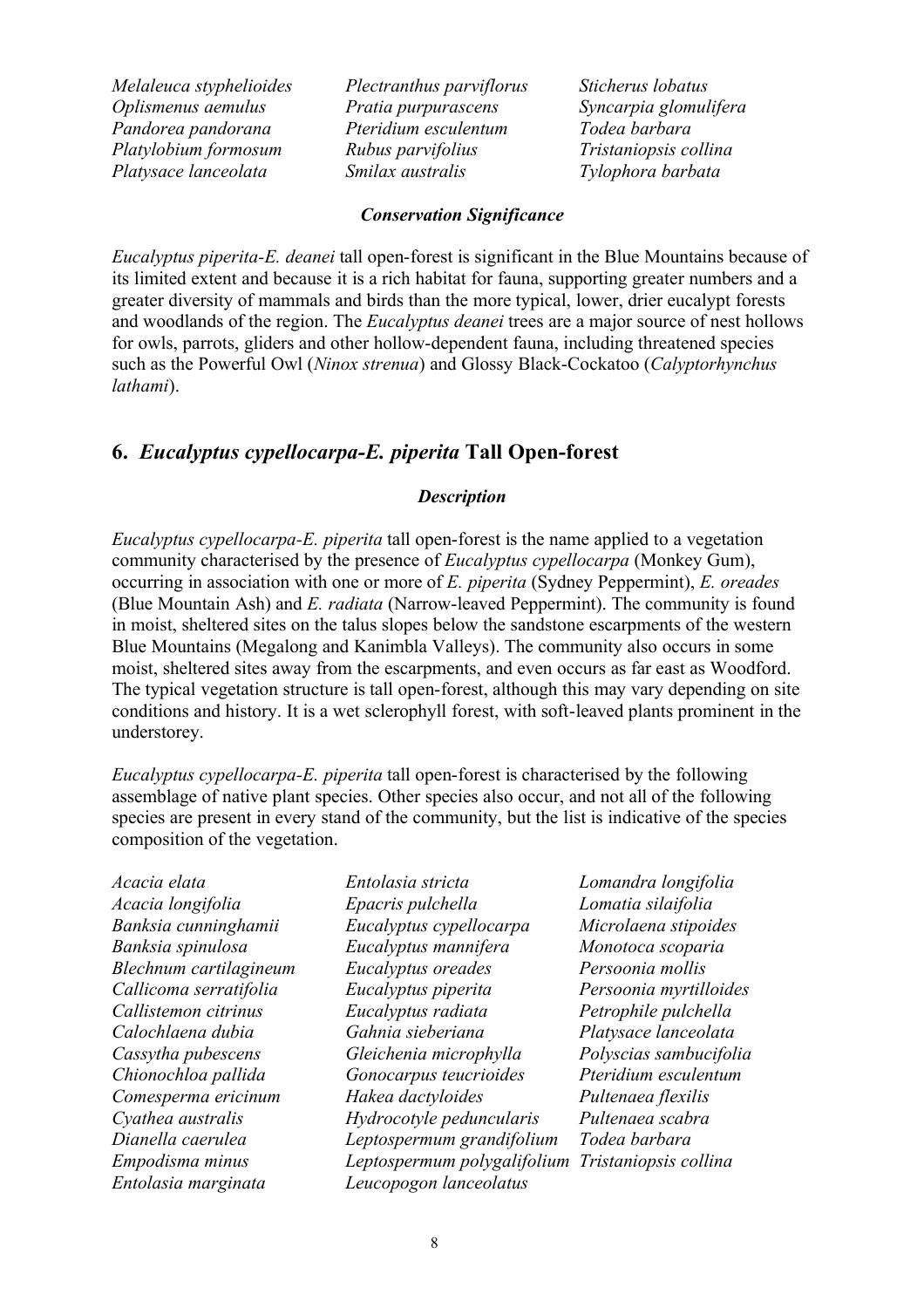*Melaleuca styphelioides Oplismenus aemulus Pandorea pandorana Platylobium formosum Platysace lanceolata*

*Plectranthus parviflorus Pratia purpurascens Pteridium esculentum Rubus parvifolius Smilax australis*

*Sticherus lobatus Syncarpia glomulifera Todea barbara Tristaniopsis collina Tylophora barbata*

#### *Conservation Significance*

*Eucalyptus piperita-E. deanei* tall open-forest is significant in the Blue Mountains because of its limited extent and because it is a rich habitat for fauna, supporting greater numbers and a greater diversity of mammals and birds than the more typical, lower, drier eucalypt forests and woodlands of the region. The *Eucalyptus deanei* trees are a major source of nest hollows for owls, parrots, gliders and other hollow-dependent fauna, including threatened species such as the Powerful Owl (*Ninox strenua*) and Glossy Black-Cockatoo (*Calyptorhynchus lathami*).

## **6.** *Eucalyptus cypellocarpa-E. piperita* **Tall Open-forest**

#### *Description*

*Eucalyptus cypellocarpa-E. piperita* tall open-forest is the name applied to a vegetation community characterised by the presence of *Eucalyptus cypellocarpa* (Monkey Gum), occurring in association with one or more of *E. piperita* (Sydney Peppermint), *E. oreades* (Blue Mountain Ash) and *E. radiata* (Narrow-leaved Peppermint). The community is found in moist, sheltered sites on the talus slopes below the sandstone escarpments of the western Blue Mountains (Megalong and Kanimbla Valleys). The community also occurs in some moist, sheltered sites away from the escarpments, and even occurs as far east as Woodford. The typical vegetation structure is tall open-forest, although this may vary depending on site conditions and history. It is a wet sclerophyll forest, with soft-leaved plants prominent in the understorey.

*Eucalyptus cypellocarpa-E. piperita* tall open-forest is characterised by the following assemblage of native plant species. Other species also occur, and not all of the following species are present in every stand of the community, but the list is indicative of the species composition of the vegetation.

*Acacia elata Acacia longifolia Banksia cunninghamii Banksia spinulosa Blechnum cartilagineum Callicoma serratifolia Callistemon citrinus Calochlaena dubia Cassytha pubescens Chionochloa pallida Comesperma ericinum Cyathea australis Dianella caerulea Empodisma minus Entolasia marginata*

*Entolasia stricta Epacris pulchella Eucalyptus cypellocarpa Eucalyptus mannifera Eucalyptus oreades Eucalyptus piperita Eucalyptus radiata Gahnia sieberiana Gleichenia microphylla Gonocarpus teucrioides Hakea dactyloides Hydrocotyle peduncularis Leptospermum grandifolium Leptospermum polygalifolium Tristaniopsis collinaLeucopogon lanceolatus*

*Lomandra longifolia Lomatia silaifolia Microlaena stipoides Monotoca scoparia Persoonia mollis Persoonia myrtilloides Petrophile pulchella Platysace lanceolata Polyscias sambucifolia Pteridium esculentum Pultenaea flexilis Pultenaea scabra Todea barbara*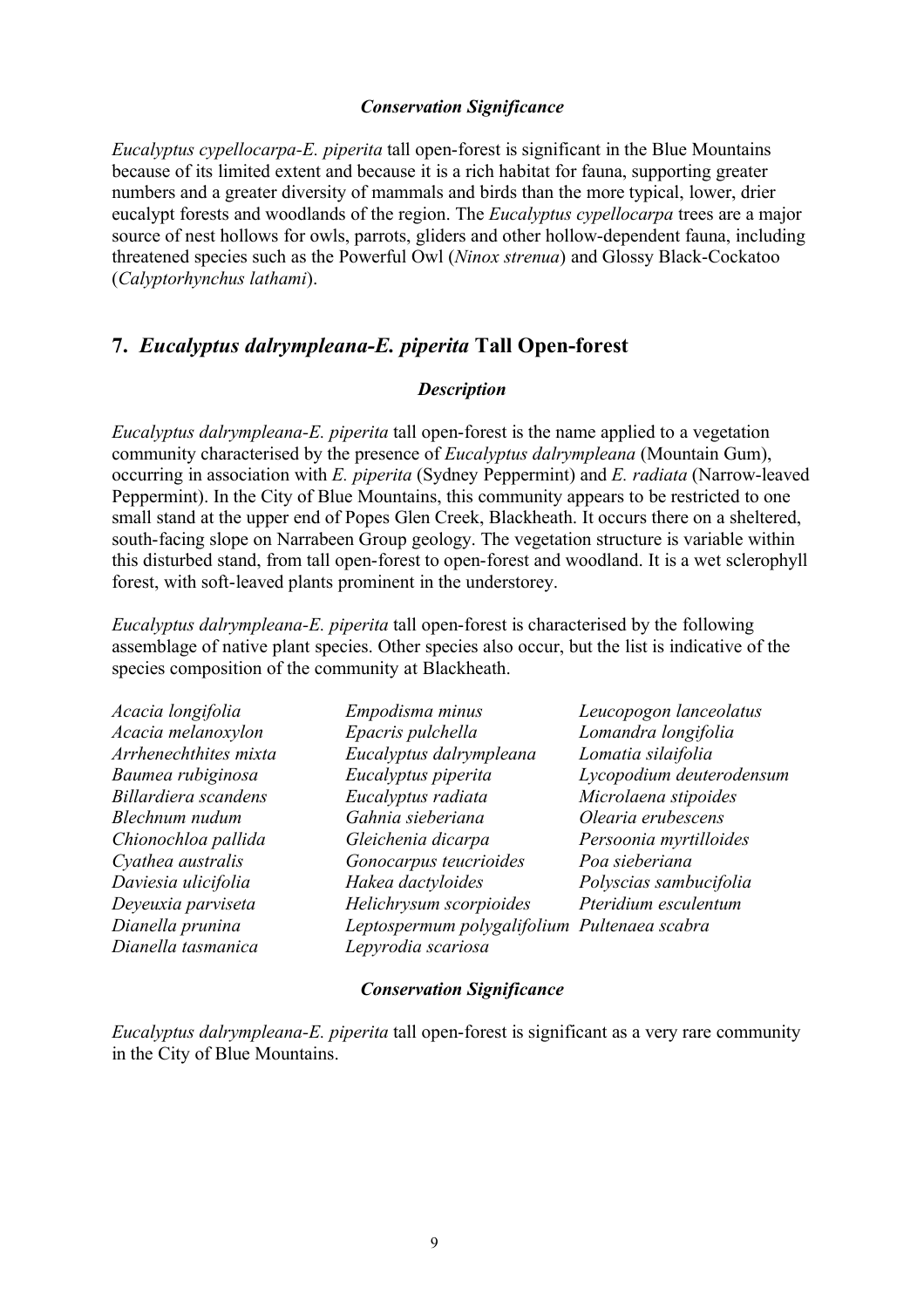#### *Conservation Significance*

*Eucalyptus cypellocarpa-E. piperita* tall open-forest is significant in the Blue Mountains because of its limited extent and because it is a rich habitat for fauna, supporting greater numbers and a greater diversity of mammals and birds than the more typical, lower, drier eucalypt forests and woodlands of the region. The *Eucalyptus cypellocarpa* trees are a major source of nest hollows for owls, parrots, gliders and other hollow-dependent fauna, including threatened species such as the Powerful Owl (*Ninox strenua*) and Glossy Black-Cockatoo (*Calyptorhynchus lathami*).

## **7.** *Eucalyptus dalrympleana-E. piperita* **Tall Open-forest**

#### *Description*

*Eucalyptus dalrympleana-E. piperita* tall open-forest is the name applied to a vegetation community characterised by the presence of *Eucalyptus dalrympleana* (Mountain Gum), occurring in association with *E. piperita* (Sydney Peppermint) and *E. radiata* (Narrow-leaved Peppermint). In the City of Blue Mountains, this community appears to be restricted to one small stand at the upper end of Popes Glen Creek, Blackheath. It occurs there on a sheltered, south-facing slope on Narrabeen Group geology. The vegetation structure is variable within this disturbed stand, from tall open-forest to open-forest and woodland. It is a wet sclerophyll forest, with soft-leaved plants prominent in the understorey.

*Eucalyptus dalrympleana-E. piperita* tall open-forest is characterised by the following assemblage of native plant species. Other species also occur, but the list is indicative of the species composition of the community at Blackheath.

| Empodisma minus         | Leucopogon lanceolatus                       |
|-------------------------|----------------------------------------------|
| Epacris pulchella       | Lomandra longifolia                          |
| Eucalyptus dalrympleana | Lomatia silaifolia                           |
| Eucalyptus piperita     | Lycopodium deuterodensum                     |
| Eucalyptus radiata      | Microlaena stipoides                         |
| Gahnia sieberiana       | Olearia erubescens                           |
| Gleichenia dicarpa      | Persoonia myrtilloides                       |
| Gonocarpus teucrioides  | Poa sieberiana                               |
| Hakea dactyloides       | Polyscias sambucifolia                       |
| Helichrysum scorpioides | Pteridium esculentum                         |
|                         |                                              |
| Lepyrodia scariosa      |                                              |
|                         | Leptospermum polygalifolium Pultenaea scabra |

#### *Conservation Significance*

*Eucalyptus dalrympleana-E. piperita* tall open-forest is significant as a very rare community in the City of Blue Mountains.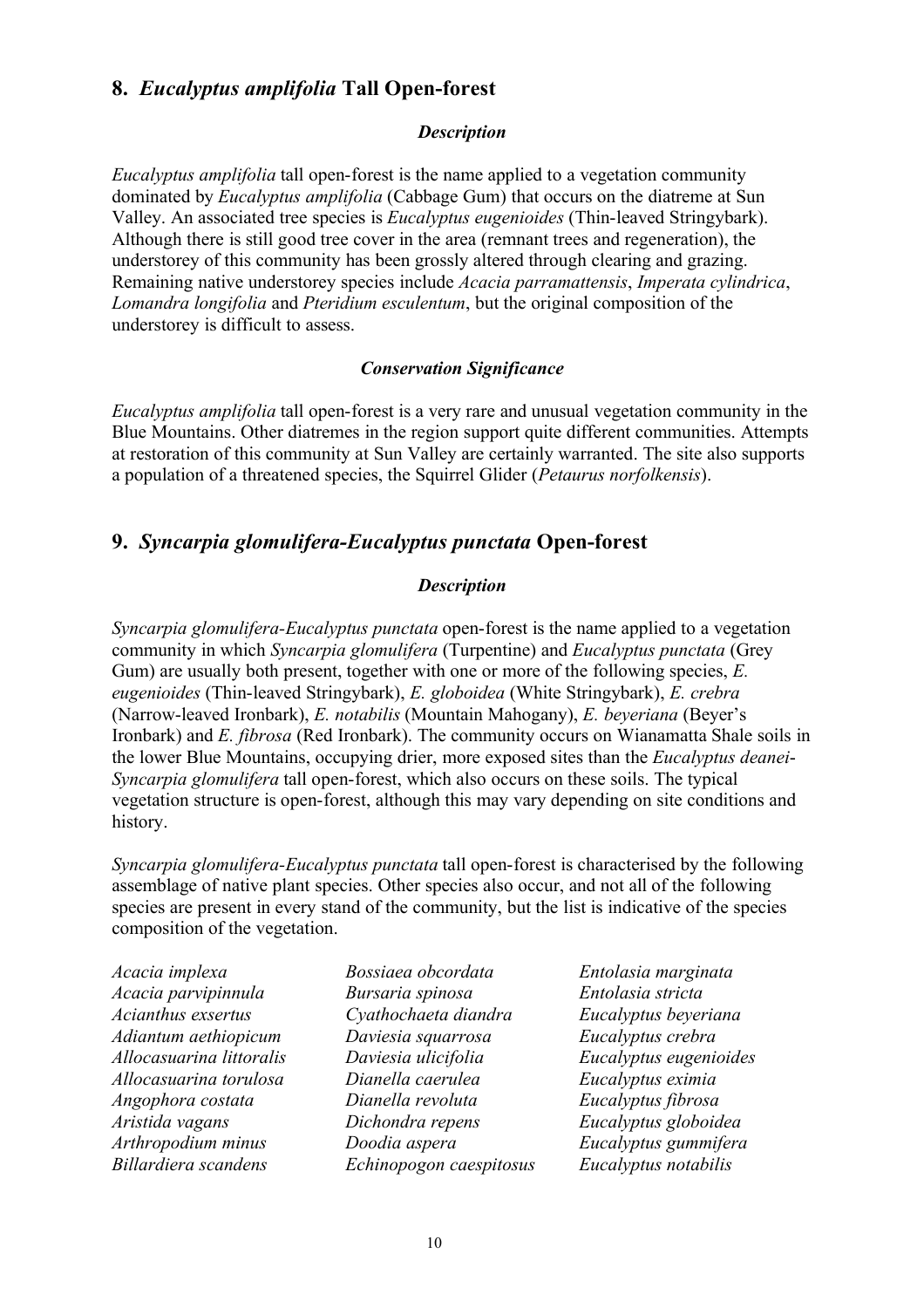## **8.** *Eucalyptus amplifolia* **Tall Open-forest**

#### *Description*

*Eucalyptus amplifolia* tall open-forest is the name applied to a vegetation community dominated by *Eucalyptus amplifolia* (Cabbage Gum) that occurs on the diatreme at Sun Valley. An associated tree species is *Eucalyptus eugenioides* (Thin-leaved Stringybark). Although there is still good tree cover in the area (remnant trees and regeneration), the understorey of this community has been grossly altered through clearing and grazing. Remaining native understorey species include *Acacia parramattensis*, *Imperata cylindrica*, *Lomandra longifolia* and *Pteridium esculentum*, but the original composition of the understorey is difficult to assess.

#### *Conservation Significance*

*Eucalyptus amplifolia* tall open-forest is a very rare and unusual vegetation community in the Blue Mountains. Other diatremes in the region support quite different communities. Attempts at restoration of this community at Sun Valley are certainly warranted. The site also supports a population of a threatened species, the Squirrel Glider (*Petaurus norfolkensis*).

## **9.** *Syncarpia glomulifera-Eucalyptus punctata* **Open-forest**

### *Description*

*Syncarpia glomulifera-Eucalyptus punctata* open-forest is the name applied to a vegetation community in which *Syncarpia glomulifera* (Turpentine) and *Eucalyptus punctata* (Grey Gum) are usually both present, together with one or more of the following species, *E. eugenioides* (Thin-leaved Stringybark), *E. globoidea* (White Stringybark), *E. crebra* (Narrow-leaved Ironbark), *E. notabilis* (Mountain Mahogany), *E. beyeriana* (Beyer's Ironbark) and *E. fibrosa* (Red Ironbark). The community occurs on Wianamatta Shale soils in the lower Blue Mountains, occupying drier, more exposed sites than the *Eucalyptus deanei*-*Syncarpia glomulifera* tall open-forest, which also occurs on these soils. The typical vegetation structure is open-forest, although this may vary depending on site conditions and history.

*Syncarpia glomulifera-Eucalyptus punctata* tall open-forest is characterised by the following assemblage of native plant species. Other species also occur, and not all of the following species are present in every stand of the community, but the list is indicative of the species composition of the vegetation.

| Acacia implexa           | Bossiaea obcordata      | Entolasia marginata    |
|--------------------------|-------------------------|------------------------|
| Acacia parvipinnula      | Bursaria spinosa        | Entolasia stricta      |
| Acianthus exsertus       | Cyathochaeta diandra    | Eucalyptus beyeriana   |
| Adiantum aethiopicum     | Daviesia squarrosa      | Eucalyptus crebra      |
| Allocasuarina littoralis | Daviesia ulicifolia     | Eucalyptus eugenioides |
| Allocasuarina torulosa   | Dianella caerulea       | Eucalyptus eximia      |
| Angophora costata        | Dianella revoluta       | Eucalyptus fibrosa     |
| Aristida vagans          | Dichondra repens        | Eucalyptus globoidea   |
| Arthropodium minus       | Doodia aspera           | Eucalyptus gummifera   |
| Billardiera scandens     | Echinopogon caespitosus | Eucalyptus notabilis   |
|                          |                         |                        |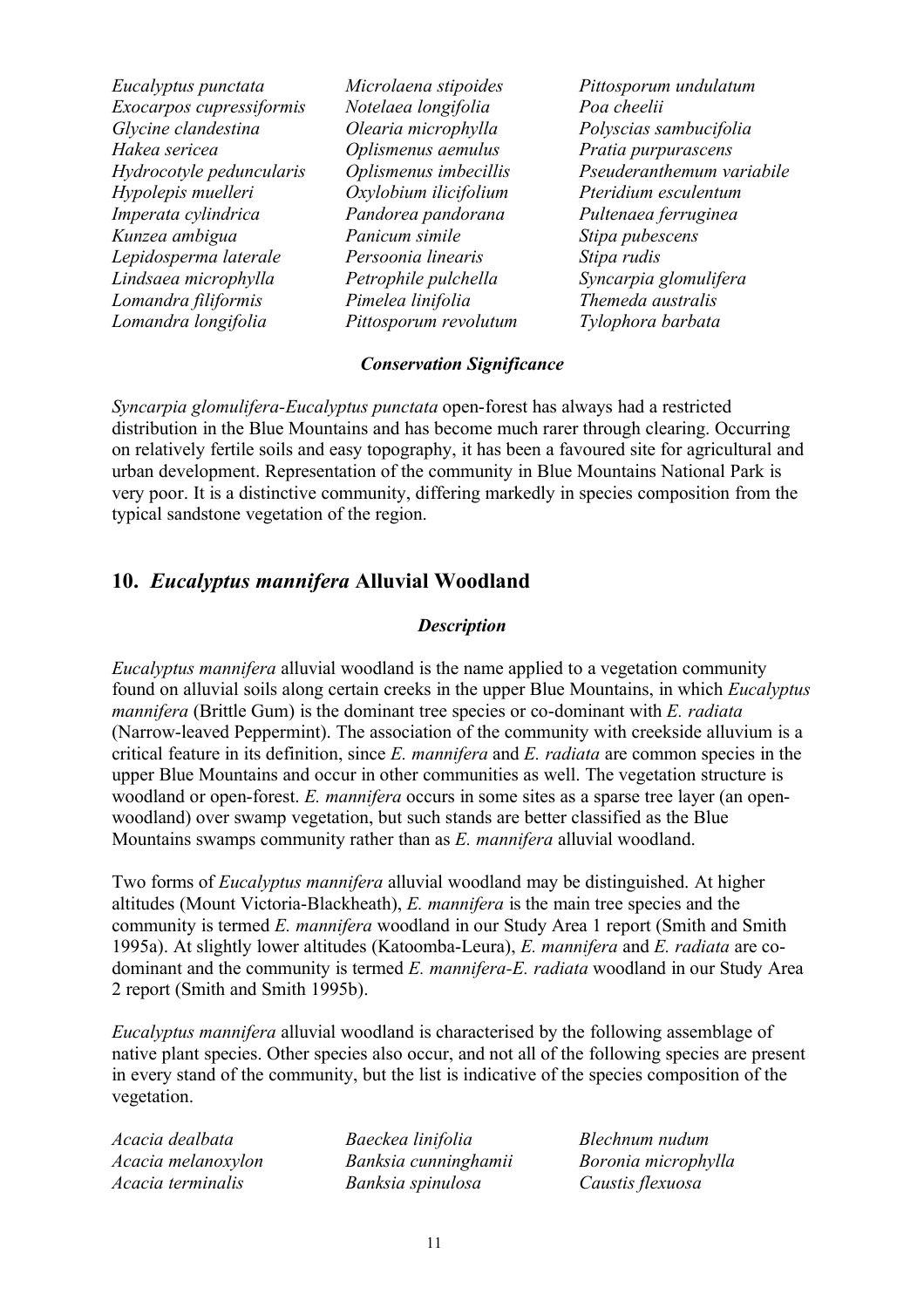*Eucalyptus punctata Exocarpos cupressiformis Glycine clandestina Hakea sericea Hydrocotyle peduncularis Hypolepis muelleri Imperata cylindrica Kunzea ambigua Lepidosperma laterale Lindsaea microphylla Lomandra filiformis Lomandra longifolia Microlaena stipoides Notelaea longifolia Olearia microphylla Oplismenus aemulus Oplismenus imbecillis Oxylobium ilicifolium Pandorea pandorana Panicum simile Persoonia linearis Petrophile pulchella Pimelea linifolia Pittosporum revolutum Pittosporum undulatum Poa cheelii Stipa pubescens Stipa rudis Themeda australis Tylophora barbata*

*Polyscias sambucifolia Pratia purpurascens Pseuderanthemum variabile Pteridium esculentum Pultenaea ferruginea Syncarpia glomulifera*

#### *Conservation Significance*

*Syncarpia glomulifera-Eucalyptus punctata* open-forest has always had a restricted distribution in the Blue Mountains and has become much rarer through clearing. Occurring on relatively fertile soils and easy topography, it has been a favoured site for agricultural and urban development. Representation of the community in Blue Mountains National Park is very poor. It is a distinctive community, differing markedly in species composition from the typical sandstone vegetation of the region.

## **10.** *Eucalyptus mannifera* **Alluvial Woodland**

#### *Description*

*Eucalyptus mannifera* alluvial woodland is the name applied to a vegetation community found on alluvial soils along certain creeks in the upper Blue Mountains, in which *Eucalyptus mannifera* (Brittle Gum) is the dominant tree species or co-dominant with *E. radiata* (Narrow-leaved Peppermint). The association of the community with creekside alluvium is a critical feature in its definition, since *E. mannifera* and *E. radiata* are common species in the upper Blue Mountains and occur in other communities as well. The vegetation structure is woodland or open-forest. *E. mannifera* occurs in some sites as a sparse tree layer (an openwoodland) over swamp vegetation, but such stands are better classified as the Blue Mountains swamps community rather than as *E. mannifera* alluvial woodland.

Two forms of *Eucalyptus mannifera* alluvial woodland may be distinguished. At higher altitudes (Mount Victoria-Blackheath), *E. mannifera* is the main tree species and the community is termed *E. mannifera* woodland in our Study Area 1 report (Smith and Smith 1995a). At slightly lower altitudes (Katoomba-Leura), *E. mannifera* and *E. radiata* are codominant and the community is termed *E. mannifera-E. radiata* woodland in our Study Area 2 report (Smith and Smith 1995b).

*Eucalyptus mannifera* alluvial woodland is characterised by the following assemblage of native plant species. Other species also occur, and not all of the following species are present in every stand of the community, but the list is indicative of the species composition of the vegetation.

*Acacia dealbata Acacia melanoxylon Acacia terminalis*

*Baeckea linifolia Banksia cunninghamii Banksia spinulosa*

*Blechnum nudum Boronia microphylla Caustis flexuosa*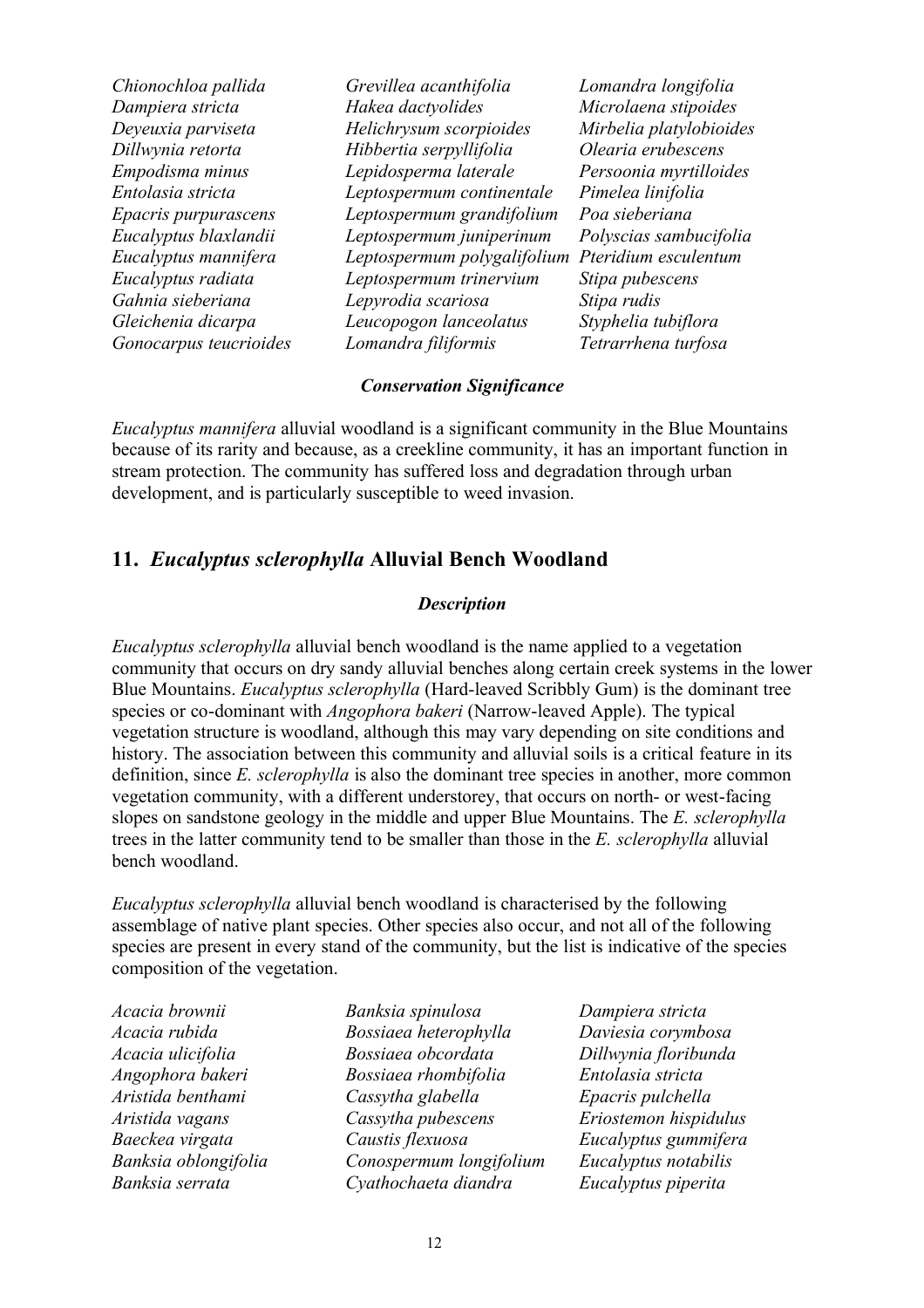*Chionochloa pallida Dampiera stricta Deyeuxia parviseta Dillwynia retorta Empodisma minus Entolasia stricta Epacris purpurascens Eucalyptus blaxlandii Eucalyptus mannifera Eucalyptus radiata Gahnia sieberiana Gleichenia dicarpa Gonocarpus teucrioides* *Grevillea acanthifolia Hakea dactyolides Helichrysum scorpioides Hibbertia serpyllifolia Lepidosperma laterale Leptospermum continentale Leptospermum grandifolium Leptospermum juniperinum Leptospermum polygalifolium Pteridium esculentum Leptospermum trinervium Lepyrodia scariosa Leucopogon lanceolatus Lomandra filiformis*

*Lomandra longifolia Microlaena stipoides Mirbelia platylobioides Olearia erubescens Persoonia myrtilloides Pimelea linifolia Poa sieberiana Polyscias sambucifolia Stipa pubescens Stipa rudis Styphelia tubiflora Tetrarrhena turfosa*

#### *Conservation Significance*

*Eucalyptus mannifera* alluvial woodland is a significant community in the Blue Mountains because of its rarity and because, as a creekline community, it has an important function in stream protection. The community has suffered loss and degradation through urban development, and is particularly susceptible to weed invasion.

## **11.** *Eucalyptus sclerophylla* **Alluvial Bench Woodland**

#### *Description*

*Eucalyptus sclerophylla* alluvial bench woodland is the name applied to a vegetation community that occurs on dry sandy alluvial benches along certain creek systems in the lower Blue Mountains. *Eucalyptus sclerophylla* (Hard-leaved Scribbly Gum) is the dominant tree species or co-dominant with *Angophora bakeri* (Narrow-leaved Apple). The typical vegetation structure is woodland, although this may vary depending on site conditions and history. The association between this community and alluvial soils is a critical feature in its definition, since *E. sclerophylla* is also the dominant tree species in another, more common vegetation community, with a different understorey, that occurs on north- or west-facing slopes on sandstone geology in the middle and upper Blue Mountains. The *E. sclerophylla* trees in the latter community tend to be smaller than those in the *E. sclerophylla* alluvial bench woodland.

*Eucalyptus sclerophylla* alluvial bench woodland is characterised by the following assemblage of native plant species. Other species also occur, and not all of the following species are present in every stand of the community, but the list is indicative of the species composition of the vegetation.

*Acacia brownii Acacia rubida Acacia ulicifolia Angophora bakeri Aristida benthami Aristida vagans Baeckea virgata Banksia oblongifolia Banksia serrata*

*Banksia spinulosa Bossiaea heterophylla Bossiaea obcordata Bossiaea rhombifolia Cassytha glabella Cassytha pubescens Caustis flexuosa Conospermum longifolium Cyathochaeta diandra*

*Dampiera stricta Daviesia corymbosa Dillwynia floribunda Entolasia stricta Epacris pulchella Eriostemon hispidulus Eucalyptus gummifera Eucalyptus notabilis Eucalyptus piperita*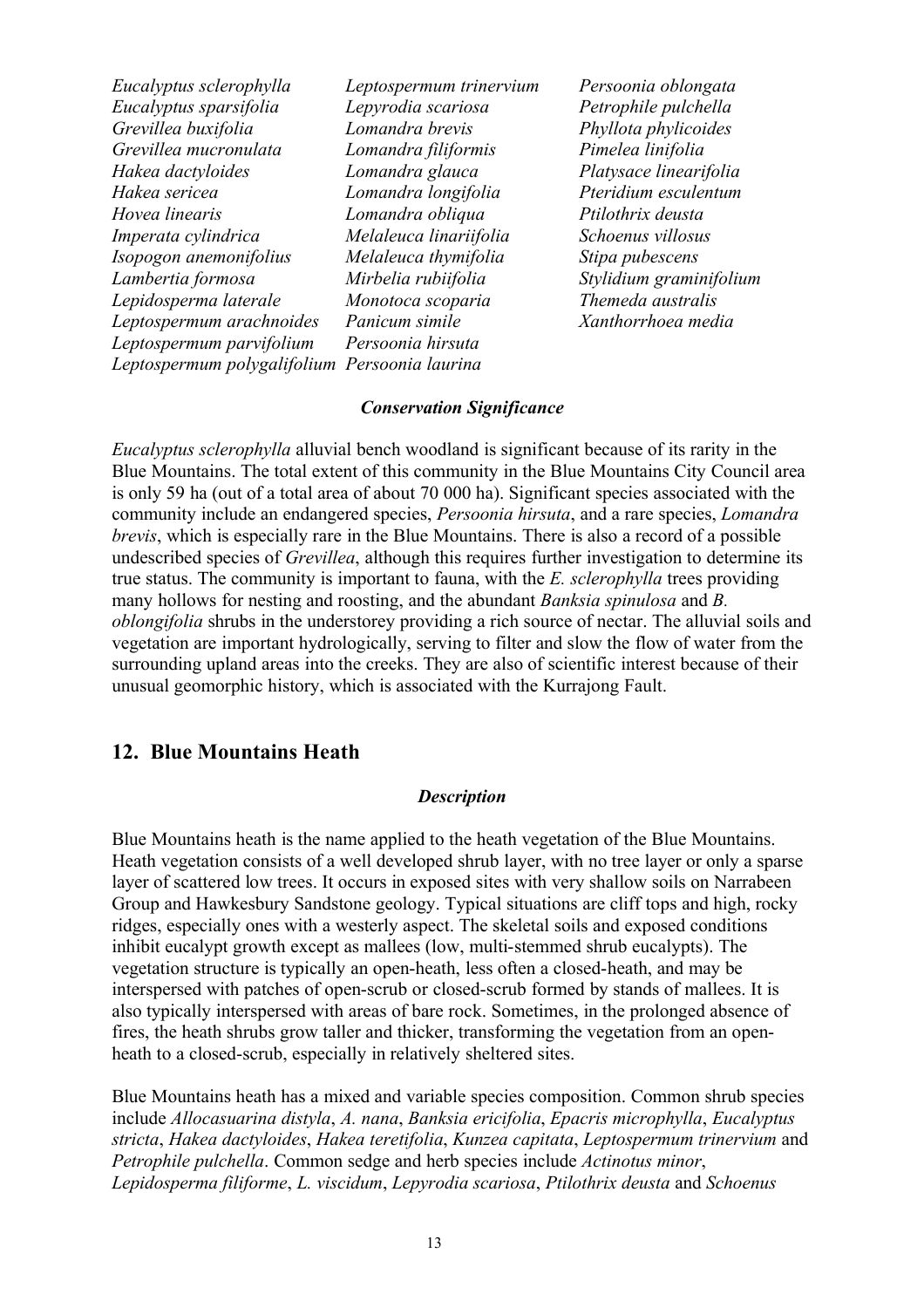*Eucalyptus sclerophylla Eucalyptus sparsifolia Grevillea buxifolia Grevillea mucronulata Hakea dactyloides Hakea sericea Hovea linearis Imperata cylindrica Isopogon anemonifolius Lambertia formosa Lepidosperma laterale Leptospermum arachnoides Leptospermum parvifolium Leptospermum polygalifolium Persoonia laurina Leptospermum trinervium Lepyrodia scariosa Lomandra brevis Lomandra filiformis Lomandra glauca Lomandra longifolia Lomandra obliqua Melaleuca linariifolia Melaleuca thymifolia Mirbelia rubiifolia Monotoca scoparia Panicum simile Persoonia hirsuta*

*Persoonia oblongata Petrophile pulchella Phyllota phylicoides Pimelea linifolia Platysace linearifolia Pteridium esculentum Ptilothrix deusta Schoenus villosus Stipa pubescens Stylidium graminifolium Themeda australis Xanthorrhoea media*

#### *Conservation Significance*

*Eucalyptus sclerophylla* alluvial bench woodland is significant because of its rarity in the Blue Mountains. The total extent of this community in the Blue Mountains City Council area is only 59 ha (out of a total area of about 70 000 ha). Significant species associated with the community include an endangered species, *Persoonia hirsuta*, and a rare species, *Lomandra brevis*, which is especially rare in the Blue Mountains. There is also a record of a possible undescribed species of *Grevillea*, although this requires further investigation to determine its true status. The community is important to fauna, with the *E. sclerophylla* trees providing many hollows for nesting and roosting, and the abundant *Banksia spinulosa* and *B. oblongifolia* shrubs in the understorey providing a rich source of nectar. The alluvial soils and vegetation are important hydrologically, serving to filter and slow the flow of water from the surrounding upland areas into the creeks. They are also of scientific interest because of their unusual geomorphic history, which is associated with the Kurrajong Fault.

## **12. Blue Mountains Heath**

#### *Description*

Blue Mountains heath is the name applied to the heath vegetation of the Blue Mountains. Heath vegetation consists of a well developed shrub layer, with no tree layer or only a sparse layer of scattered low trees. It occurs in exposed sites with very shallow soils on Narrabeen Group and Hawkesbury Sandstone geology. Typical situations are cliff tops and high, rocky ridges, especially ones with a westerly aspect. The skeletal soils and exposed conditions inhibit eucalypt growth except as mallees (low, multi-stemmed shrub eucalypts). The vegetation structure is typically an open-heath, less often a closed-heath, and may be interspersed with patches of open-scrub or closed-scrub formed by stands of mallees. It is also typically interspersed with areas of bare rock. Sometimes, in the prolonged absence of fires, the heath shrubs grow taller and thicker, transforming the vegetation from an openheath to a closed-scrub, especially in relatively sheltered sites.

Blue Mountains heath has a mixed and variable species composition. Common shrub species include *Allocasuarina distyla*, *A. nana*, *Banksia ericifolia*, *Epacris microphylla*, *Eucalyptus stricta*, *Hakea dactyloides*, *Hakea teretifolia*, *Kunzea capitata*, *Leptospermum trinervium* and *Petrophile pulchella*. Common sedge and herb species include *Actinotus minor*, *Lepidosperma filiforme*, *L. viscidum*, *Lepyrodia scariosa*, *Ptilothrix deusta* and *Schoenus*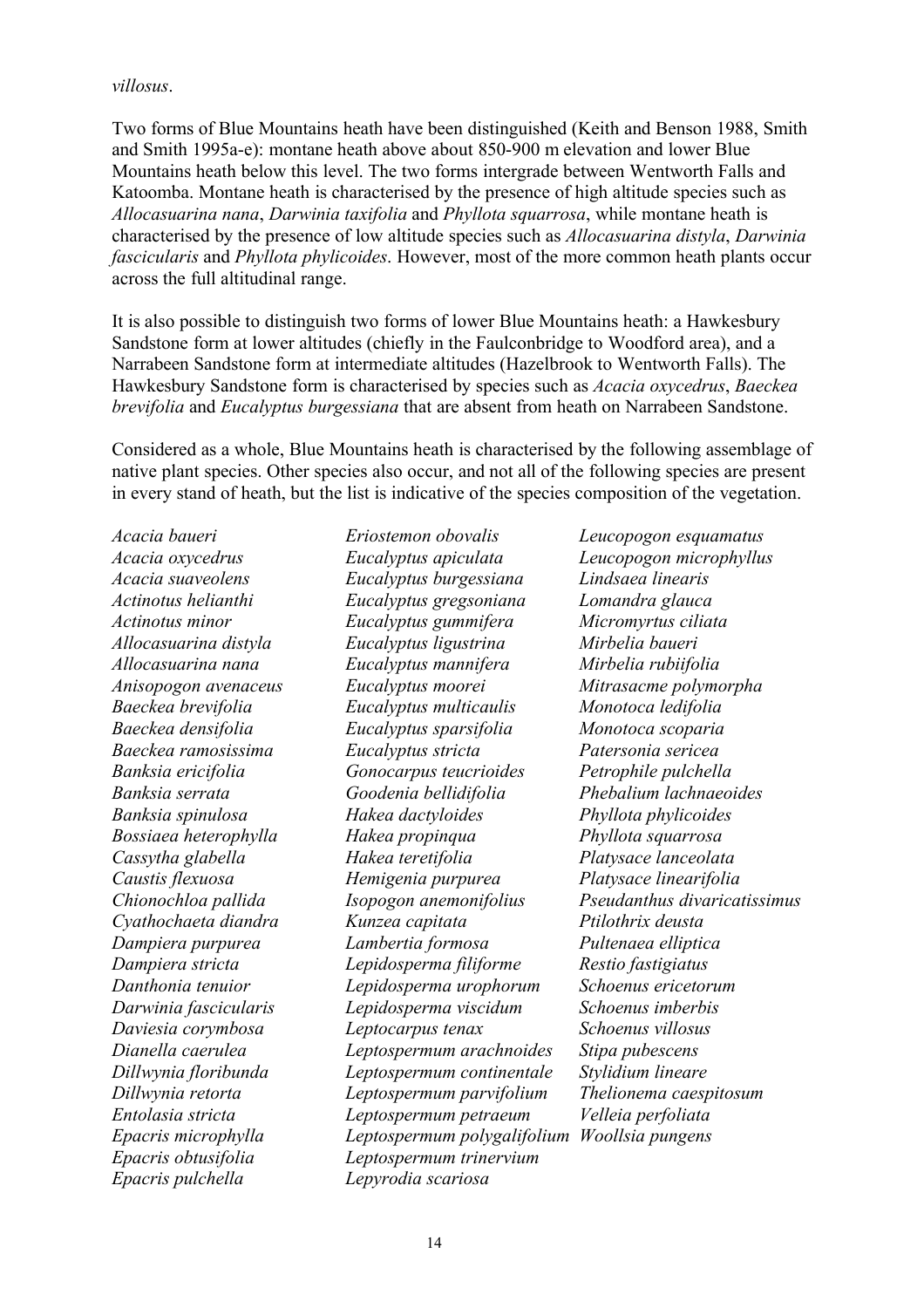*villosus*.

Two forms of Blue Mountains heath have been distinguished (Keith and Benson 1988, Smith and Smith 1995a-e): montane heath above about 850-900 m elevation and lower Blue Mountains heath below this level. The two forms intergrade between Wentworth Falls and Katoomba. Montane heath is characterised by the presence of high altitude species such as *Allocasuarina nana*, *Darwinia taxifolia* and *Phyllota squarrosa*, while montane heath is characterised by the presence of low altitude species such as *Allocasuarina distyla*, *Darwinia fascicularis* and *Phyllota phylicoides*. However, most of the more common heath plants occur across the full altitudinal range.

It is also possible to distinguish two forms of lower Blue Mountains heath: a Hawkesbury Sandstone form at lower altitudes (chiefly in the Faulconbridge to Woodford area), and a Narrabeen Sandstone form at intermediate altitudes (Hazelbrook to Wentworth Falls). The Hawkesbury Sandstone form is characterised by species such as *Acacia oxycedrus*, *Baeckea brevifolia* and *Eucalyptus burgessiana* that are absent from heath on Narrabeen Sandstone.

Considered as a whole, Blue Mountains heath is characterised by the following assemblage of native plant species. Other species also occur, and not all of the following species are present in every stand of heath, but the list is indicative of the species composition of the vegetation.

*Acacia baueri Acacia oxycedrus Acacia suaveolens Actinotus helianthi Actinotus minor Allocasuarina distyla Allocasuarina nana Anisopogon avenaceus Baeckea brevifolia Baeckea densifolia Baeckea ramosissima Banksia ericifolia Banksia serrata Banksia spinulosa Bossiaea heterophylla Cassytha glabella Caustis flexuosa Chionochloa pallida Cyathochaeta diandra Dampiera purpurea Dampiera stricta Danthonia tenuior Darwinia fascicularis Daviesia corymbosa Dianella caerulea Dillwynia floribunda Dillwynia retorta Entolasia stricta Epacris microphylla Epacris obtusifolia Epacris pulchella*

*Eriostemon obovalis Eucalyptus apiculata Eucalyptus burgessiana Eucalyptus gregsoniana Eucalyptus gummifera Eucalyptus ligustrina Eucalyptus mannifera Eucalyptus moorei Eucalyptus multicaulis Eucalyptus sparsifolia Eucalyptus stricta Gonocarpus teucrioides Goodenia bellidifolia Hakea dactyloides Hakea propinqua Hakea teretifolia Hemigenia purpurea Isopogon anemonifolius Kunzea capitata Lambertia formosa Lepidosperma filiforme Lepidosperma urophorum Lepidosperma viscidum Leptocarpus tenax Leptospermum arachnoides Leptospermum continentale Leptospermum parvifolium Leptospermum petraeum Leptospermum polygalifolium Woollsia pungensLeptospermum trinervium Lepyrodia scariosa*

*Leucopogon esquamatus Leucopogon microphyllus Lindsaea linearis Lomandra glauca Micromyrtus ciliata Mirbelia baueri Mirbelia rubiifolia Mitrasacme polymorpha Monotoca ledifolia Monotoca scoparia Patersonia sericea Petrophile pulchella Phebalium lachnaeoides Phyllota phylicoides Phyllota squarrosa Platysace lanceolata Platysace linearifolia Pseudanthus divaricatissimus Ptilothrix deusta Pultenaea elliptica Restio fastigiatus Schoenus ericetorum Schoenus imberbis Schoenus villosus Stipa pubescens Stylidium lineare Thelionema caespitosum Velleia perfoliata*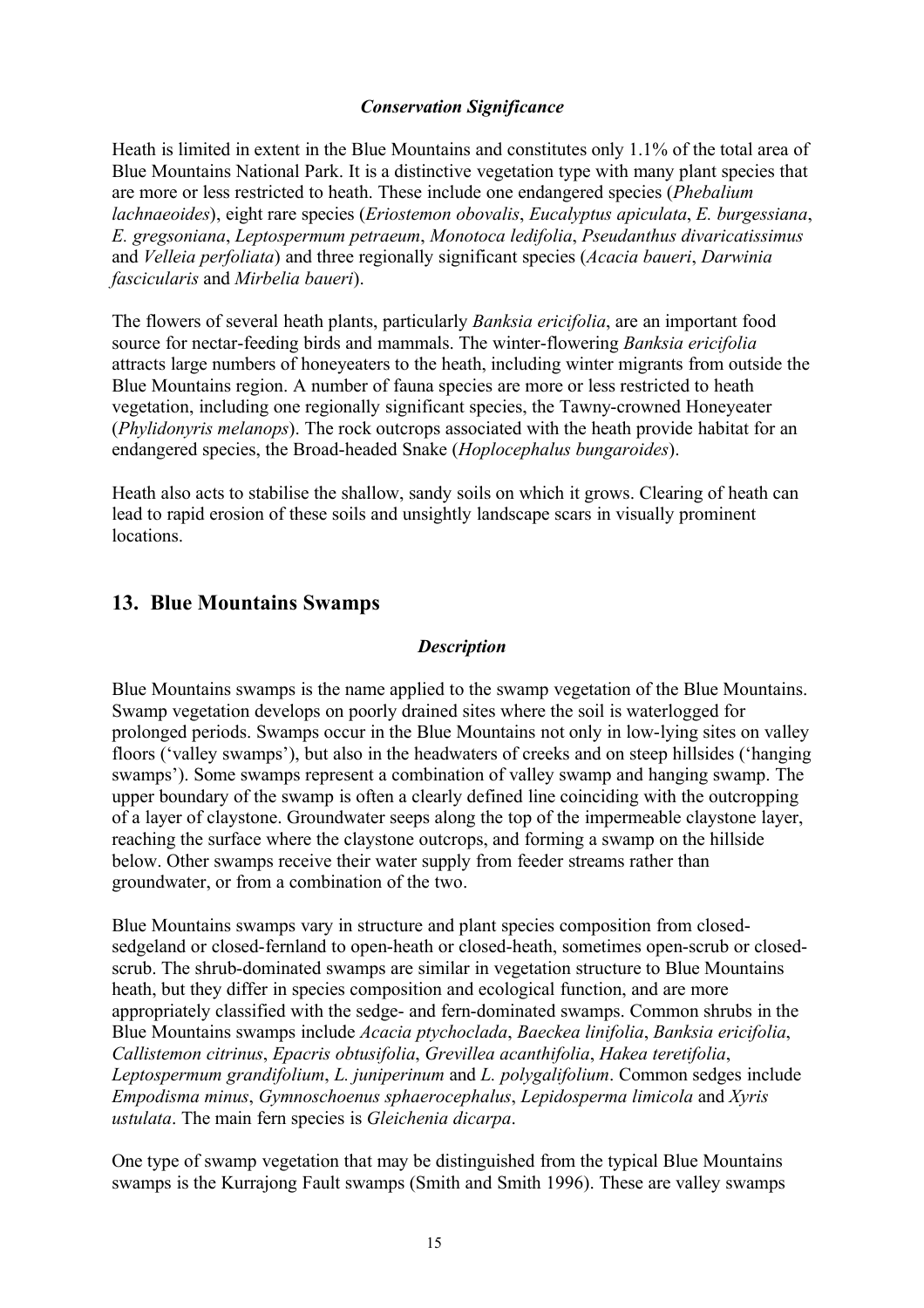#### *Conservation Significance*

Heath is limited in extent in the Blue Mountains and constitutes only 1.1% of the total area of Blue Mountains National Park. It is a distinctive vegetation type with many plant species that are more or less restricted to heath. These include one endangered species (*Phebalium lachnaeoides*), eight rare species (*Eriostemon obovalis*, *Eucalyptus apiculata*, *E. burgessiana*, *E. gregsoniana*, *Leptospermum petraeum*, *Monotoca ledifolia*, *Pseudanthus divaricatissimus* and *Velleia perfoliata*) and three regionally significant species (*Acacia baueri*, *Darwinia fascicularis* and *Mirbelia baueri*).

The flowers of several heath plants, particularly *Banksia ericifolia*, are an important food source for nectar-feeding birds and mammals. The winter-flowering *Banksia ericifolia* attracts large numbers of honeyeaters to the heath, including winter migrants from outside the Blue Mountains region. A number of fauna species are more or less restricted to heath vegetation, including one regionally significant species, the Tawny-crowned Honeyeater (*Phylidonyris melanops*). The rock outcrops associated with the heath provide habitat for an endangered species, the Broad-headed Snake (*Hoplocephalus bungaroides*).

Heath also acts to stabilise the shallow, sandy soils on which it grows. Clearing of heath can lead to rapid erosion of these soils and unsightly landscape scars in visually prominent locations.

## **13. Blue Mountains Swamps**

#### *Description*

Blue Mountains swamps is the name applied to the swamp vegetation of the Blue Mountains. Swamp vegetation develops on poorly drained sites where the soil is waterlogged for prolonged periods. Swamps occur in the Blue Mountains not only in low-lying sites on valley floors ('valley swamps'), but also in the headwaters of creeks and on steep hillsides ('hanging swamps'). Some swamps represent a combination of valley swamp and hanging swamp. The upper boundary of the swamp is often a clearly defined line coinciding with the outcropping of a layer of claystone. Groundwater seeps along the top of the impermeable claystone layer, reaching the surface where the claystone outcrops, and forming a swamp on the hillside below. Other swamps receive their water supply from feeder streams rather than groundwater, or from a combination of the two.

Blue Mountains swamps vary in structure and plant species composition from closedsedgeland or closed-fernland to open-heath or closed-heath, sometimes open-scrub or closedscrub. The shrub-dominated swamps are similar in vegetation structure to Blue Mountains heath, but they differ in species composition and ecological function, and are more appropriately classified with the sedge- and fern-dominated swamps. Common shrubs in the Blue Mountains swamps include *Acacia ptychoclada*, *Baeckea linifolia*, *Banksia ericifolia*, *Callistemon citrinus*, *Epacris obtusifolia*, *Grevillea acanthifolia*, *Hakea teretifolia*, *Leptospermum grandifolium*, *L. juniperinum* and *L. polygalifolium*. Common sedges include *Empodisma minus*, *Gymnoschoenus sphaerocephalus*, *Lepidosperma limicola* and *Xyris ustulata*. The main fern species is *Gleichenia dicarpa*.

One type of swamp vegetation that may be distinguished from the typical Blue Mountains swamps is the Kurrajong Fault swamps (Smith and Smith 1996). These are valley swamps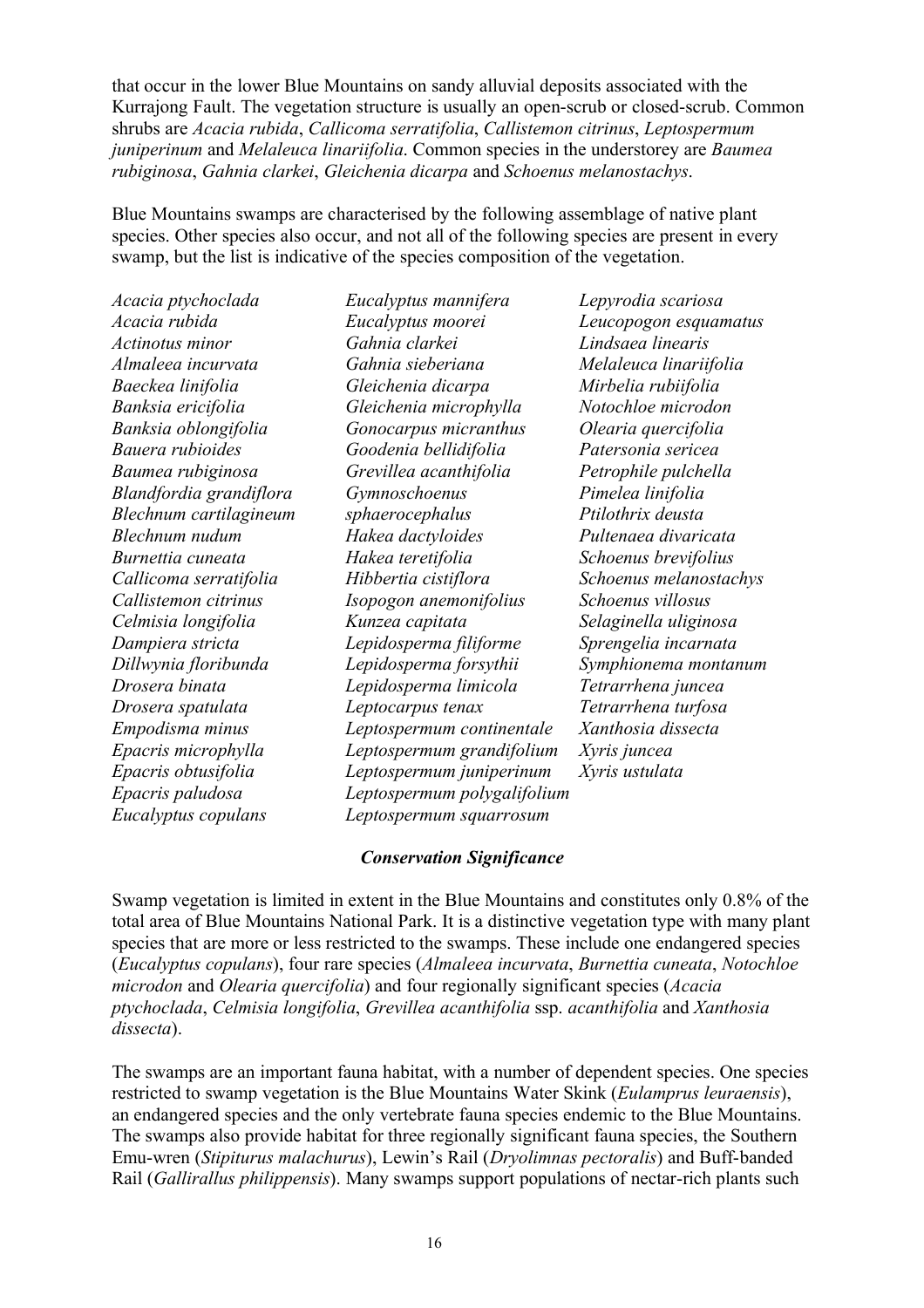that occur in the lower Blue Mountains on sandy alluvial deposits associated with the Kurrajong Fault. The vegetation structure is usually an open-scrub or closed-scrub. Common shrubs are *Acacia rubida*, *Callicoma serratifolia*, *Callistemon citrinus*, *Leptospermum juniperinum* and *Melaleuca linariifolia*. Common species in the understorey are *Baumea rubiginosa*, *Gahnia clarkei*, *Gleichenia dicarpa* and *Schoenus melanostachys*.

Blue Mountains swamps are characterised by the following assemblage of native plant species. Other species also occur, and not all of the following species are present in every swamp, but the list is indicative of the species composition of the vegetation.

*Acacia ptychoclada Acacia rubida Actinotus minor Almaleea incurvata Baeckea linifolia Banksia ericifolia Banksia oblongifolia Bauera rubioides Baumea rubiginosa Blandfordia grandiflora Blechnum cartilagineum Blechnum nudum Burnettia cuneata Callicoma serratifolia Callistemon citrinus Celmisia longifolia Dampiera stricta Dillwynia floribunda Drosera binata Drosera spatulata Empodisma minus Epacris microphylla Epacris obtusifolia Epacris paludosa Eucalyptus copulans*

*Eucalyptus mannifera Eucalyptus moorei Gahnia clarkei Gahnia sieberiana Gleichenia dicarpa Gleichenia microphylla Gonocarpus micranthus Goodenia bellidifolia Grevillea acanthifolia Gymnoschoenus sphaerocephalus Hakea dactyloides Hakea teretifolia Hibbertia cistiflora Isopogon anemonifolius Kunzea capitata Lepidosperma filiforme Lepidosperma forsythii Lepidosperma limicola Leptocarpus tenax Leptospermum continentale Leptospermum grandifolium Leptospermum juniperinum Leptospermum polygalifolium Leptospermum squarrosum*

*Lepyrodia scariosa Leucopogon esquamatus Lindsaea linearis Melaleuca linariifolia Mirbelia rubiifolia Notochloe microdon Olearia quercifolia Patersonia sericea Petrophile pulchella Pimelea linifolia Ptilothrix deusta Pultenaea divaricata Schoenus brevifolius Schoenus melanostachys Schoenus villosus Selaginella uliginosa Sprengelia incarnata Symphionema montanum Tetrarrhena juncea Tetrarrhena turfosa Xanthosia dissecta Xyris juncea Xyris ustulata*

#### *Conservation Significance*

Swamp vegetation is limited in extent in the Blue Mountains and constitutes only 0.8% of the total area of Blue Mountains National Park. It is a distinctive vegetation type with many plant species that are more or less restricted to the swamps. These include one endangered species (*Eucalyptus copulans*), four rare species (*Almaleea incurvata*, *Burnettia cuneata*, *Notochloe microdon* and *Olearia quercifolia*) and four regionally significant species (*Acacia ptychoclada*, *Celmisia longifolia*, *Grevillea acanthifolia* ssp. *acanthifolia* and *Xanthosia dissecta*).

The swamps are an important fauna habitat, with a number of dependent species. One species restricted to swamp vegetation is the Blue Mountains Water Skink (*Eulamprus leuraensis*), an endangered species and the only vertebrate fauna species endemic to the Blue Mountains. The swamps also provide habitat for three regionally significant fauna species, the Southern Emu-wren (*Stipiturus malachurus*), Lewin's Rail (*Dryolimnas pectoralis*) and Buff-banded Rail (*Gallirallus philippensis*). Many swamps support populations of nectar-rich plants such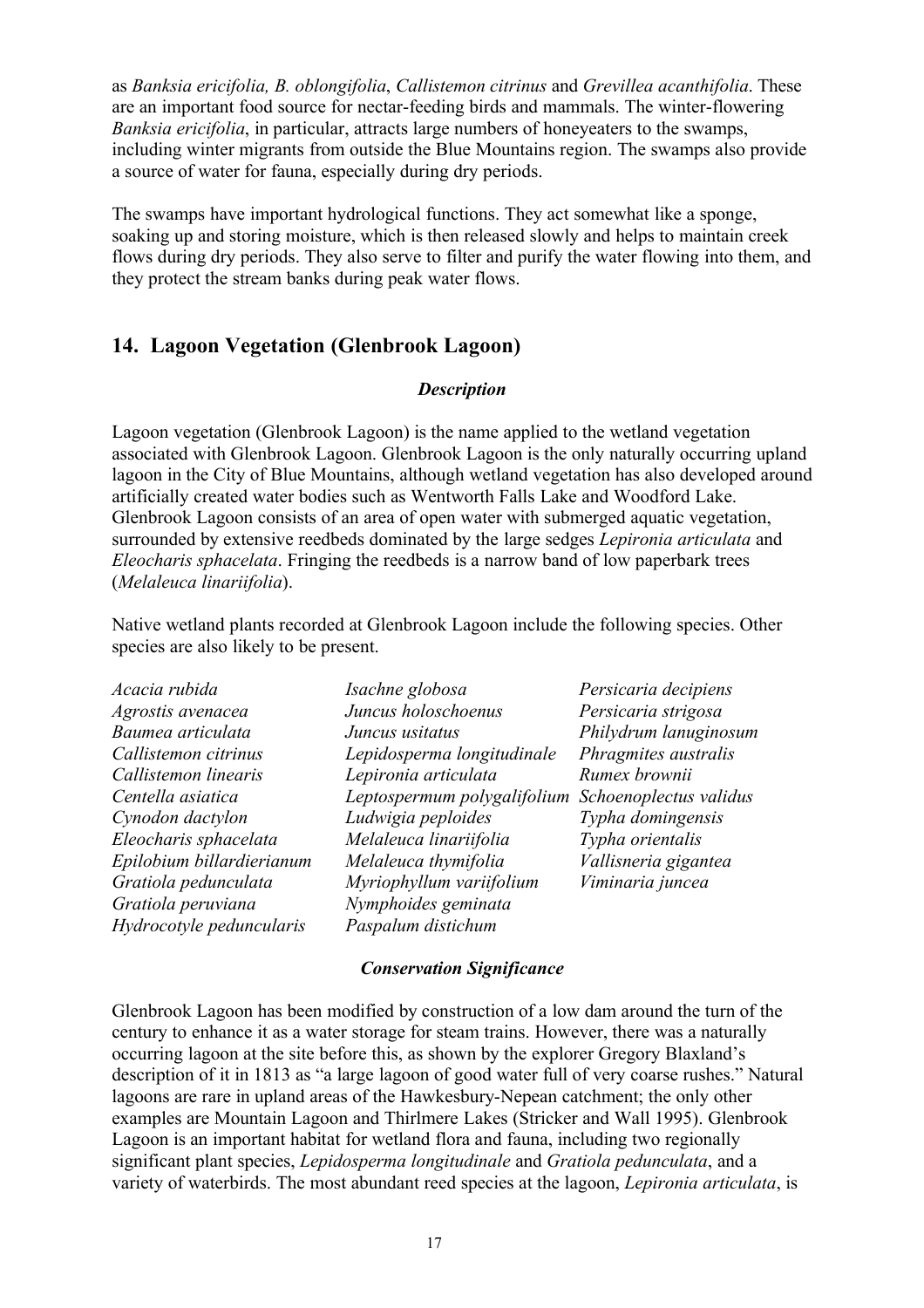as *Banksia ericifolia, B. oblongifolia*, *Callistemon citrinus* and *Grevillea acanthifolia*. These are an important food source for nectar-feeding birds and mammals. The winter-flowering *Banksia ericifolia*, in particular, attracts large numbers of honeyeaters to the swamps, including winter migrants from outside the Blue Mountains region. The swamps also provide a source of water for fauna, especially during dry periods.

The swamps have important hydrological functions. They act somewhat like a sponge, soaking up and storing moisture, which is then released slowly and helps to maintain creek flows during dry periods. They also serve to filter and purify the water flowing into them, and they protect the stream banks during peak water flows.

## **14. Lagoon Vegetation (Glenbrook Lagoon)**

#### *Description*

Lagoon vegetation (Glenbrook Lagoon) is the name applied to the wetland vegetation associated with Glenbrook Lagoon. Glenbrook Lagoon is the only naturally occurring upland lagoon in the City of Blue Mountains, although wetland vegetation has also developed around artificially created water bodies such as Wentworth Falls Lake and Woodford Lake. Glenbrook Lagoon consists of an area of open water with submerged aquatic vegetation, surrounded by extensive reedbeds dominated by the large sedges *Lepironia articulata* and *Eleocharis sphacelata*. Fringing the reedbeds is a narrow band of low paperbark trees (*Melaleuca linariifolia*).

Native wetland plants recorded at Glenbrook Lagoon include the following species. Other species are also likely to be present.

| Acacia rubida             | Isachne globosa                                    | Persicaria decipiens  |
|---------------------------|----------------------------------------------------|-----------------------|
| Agrostis avenacea         | Juncus holoschoenus                                | Persicaria strigosa   |
| Baumea articulata         | Juncus usitatus                                    | Philydrum lanuginosum |
| Callistemon citrinus      | Lepidosperma longitudinale                         | Phragmites australis  |
| Callistemon linearis      | Lepironia articulata                               | Rumex brownii         |
| Centella asiatica         | Leptospermum polygalifolium Schoenoplectus validus |                       |
| Cynodon dactylon          | Ludwigia peploides                                 | Typha domingensis     |
| Eleocharis sphacelata     | Melaleuca linariifolia                             | Typha orientalis      |
| Epilobium billardierianum | Melaleuca thymifolia                               | Vallisneria gigantea  |
| Gratiola pedunculata      | Myriophyllum variifolium                           | Viminaria juncea      |
| Gratiola peruviana        | Nymphoides geminata                                |                       |
| Hydrocotyle peduncularis  | Paspalum distichum                                 |                       |
|                           |                                                    |                       |

#### *Conservation Significance*

Glenbrook Lagoon has been modified by construction of a low dam around the turn of the century to enhance it as a water storage for steam trains. However, there was a naturally occurring lagoon at the site before this, as shown by the explorer Gregory Blaxland's description of it in 1813 as "a large lagoon of good water full of very coarse rushes." Natural lagoons are rare in upland areas of the Hawkesbury-Nepean catchment; the only other examples are Mountain Lagoon and Thirlmere Lakes (Stricker and Wall 1995). Glenbrook Lagoon is an important habitat for wetland flora and fauna, including two regionally significant plant species, *Lepidosperma longitudinale* and *Gratiola pedunculata*, and a variety of waterbirds. The most abundant reed species at the lagoon, *Lepironia articulata*, is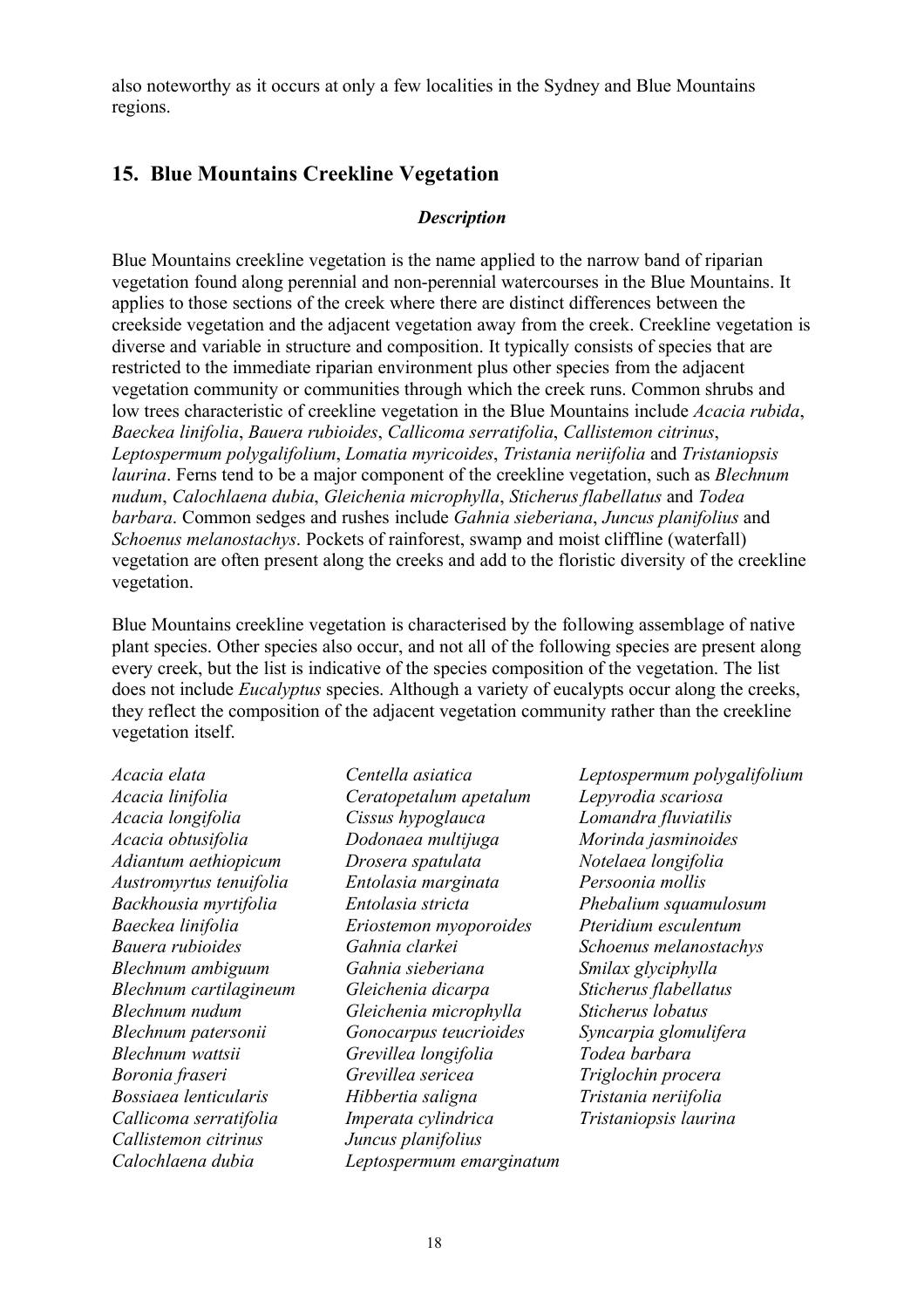also noteworthy as it occurs at only a few localities in the Sydney and Blue Mountains regions.

## **15. Blue Mountains Creekline Vegetation**

#### *Description*

Blue Mountains creekline vegetation is the name applied to the narrow band of riparian vegetation found along perennial and non-perennial watercourses in the Blue Mountains. It applies to those sections of the creek where there are distinct differences between the creekside vegetation and the adjacent vegetation away from the creek. Creekline vegetation is diverse and variable in structure and composition. It typically consists of species that are restricted to the immediate riparian environment plus other species from the adjacent vegetation community or communities through which the creek runs. Common shrubs and low trees characteristic of creekline vegetation in the Blue Mountains include *Acacia rubida*, *Baeckea linifolia*, *Bauera rubioides*, *Callicoma serratifolia*, *Callistemon citrinus*, *Leptospermum polygalifolium*, *Lomatia myricoides*, *Tristania neriifolia* and *Tristaniopsis laurina*. Ferns tend to be a major component of the creekline vegetation, such as *Blechnum nudum*, *Calochlaena dubia*, *Gleichenia microphylla*, *Sticherus flabellatus* and *Todea barbara*. Common sedges and rushes include *Gahnia sieberiana*, *Juncus planifolius* and *Schoenus melanostachys*. Pockets of rainforest, swamp and moist cliffline (waterfall) vegetation are often present along the creeks and add to the floristic diversity of the creekline vegetation.

Blue Mountains creekline vegetation is characterised by the following assemblage of native plant species. Other species also occur, and not all of the following species are present along every creek, but the list is indicative of the species composition of the vegetation. The list does not include *Eucalyptus* species. Although a variety of eucalypts occur along the creeks, they reflect the composition of the adjacent vegetation community rather than the creekline vegetation itself.

*Acacia elata Acacia linifolia Acacia longifolia Acacia obtusifolia Adiantum aethiopicum Austromyrtus tenuifolia Backhousia myrtifolia Baeckea linifolia Bauera rubioides Blechnum ambiguum Blechnum cartilagineum Blechnum nudum Blechnum patersonii Blechnum wattsii Boronia fraseri Bossiaea lenticularis Callicoma serratifolia Callistemon citrinus Calochlaena dubia*

*Centella asiatica Ceratopetalum apetalum Cissus hypoglauca Dodonaea multijuga Drosera spatulata Entolasia marginata Entolasia stricta Eriostemon myoporoides Gahnia clarkei Gahnia sieberiana Gleichenia dicarpa Gleichenia microphylla Gonocarpus teucrioides Grevillea longifolia Grevillea sericea Hibbertia saligna Imperata cylindrica Juncus planifolius Leptospermum emarginatum* *Leptospermum polygalifolium Lepyrodia scariosa Lomandra fluviatilis Morinda jasminoides Notelaea longifolia Persoonia mollis Phebalium squamulosum Pteridium esculentum Schoenus melanostachys Smilax glyciphylla Sticherus flabellatus Sticherus lobatus Syncarpia glomulifera Todea barbara Triglochin procera Tristania neriifolia Tristaniopsis laurina*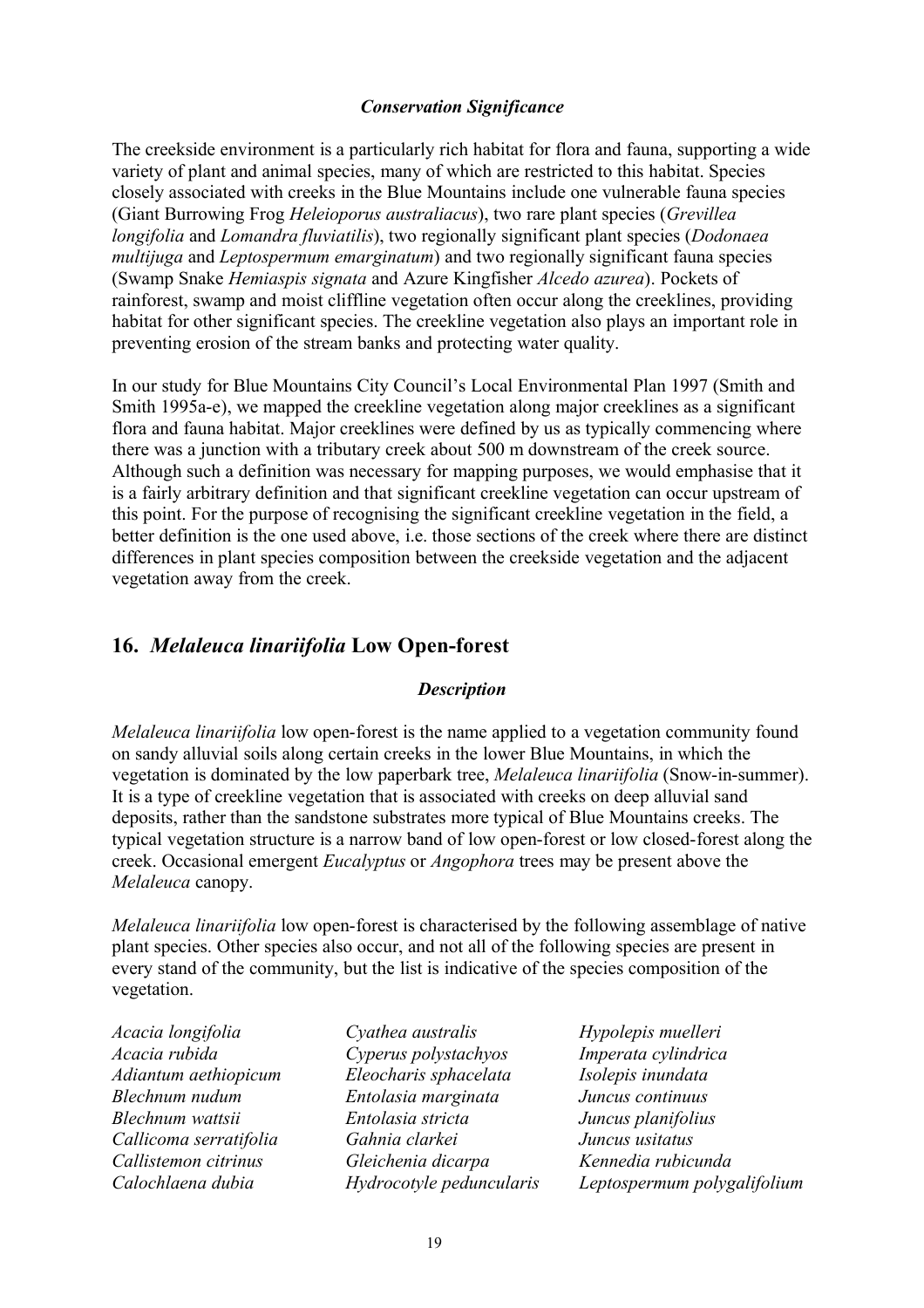#### *Conservation Significance*

The creekside environment is a particularly rich habitat for flora and fauna, supporting a wide variety of plant and animal species, many of which are restricted to this habitat. Species closely associated with creeks in the Blue Mountains include one vulnerable fauna species (Giant Burrowing Frog *Heleioporus australiacus*), two rare plant species (*Grevillea longifolia* and *Lomandra fluviatilis*), two regionally significant plant species (*Dodonaea multijuga* and *Leptospermum emarginatum*) and two regionally significant fauna species (Swamp Snake *Hemiaspis signata* and Azure Kingfisher *Alcedo azurea*). Pockets of rainforest, swamp and moist cliffline vegetation often occur along the creeklines, providing habitat for other significant species. The creekline vegetation also plays an important role in preventing erosion of the stream banks and protecting water quality.

In our study for Blue Mountains City Council's Local Environmental Plan 1997 (Smith and Smith 1995a-e), we mapped the creekline vegetation along major creeklines as a significant flora and fauna habitat. Major creeklines were defined by us as typically commencing where there was a junction with a tributary creek about 500 m downstream of the creek source. Although such a definition was necessary for mapping purposes, we would emphasise that it is a fairly arbitrary definition and that significant creekline vegetation can occur upstream of this point. For the purpose of recognising the significant creekline vegetation in the field, a better definition is the one used above, i.e. those sections of the creek where there are distinct differences in plant species composition between the creekside vegetation and the adjacent vegetation away from the creek.

#### **16.** *Melaleuca linariifolia* **Low Open-forest**

#### *Description*

*Melaleuca linariifolia* low open-forest is the name applied to a vegetation community found on sandy alluvial soils along certain creeks in the lower Blue Mountains, in which the vegetation is dominated by the low paperbark tree, *Melaleuca linariifolia* (Snow-in-summer). It is a type of creekline vegetation that is associated with creeks on deep alluvial sand deposits, rather than the sandstone substrates more typical of Blue Mountains creeks. The typical vegetation structure is a narrow band of low open-forest or low closed-forest along the creek. Occasional emergent *Eucalyptus* or *Angophora* trees may be present above the *Melaleuca* canopy.

*Melaleuca linariifolia* low open-forest is characterised by the following assemblage of native plant species. Other species also occur, and not all of the following species are present in every stand of the community, but the list is indicative of the species composition of the vegetation.

*Acacia longifolia Acacia rubida Adiantum aethiopicum Blechnum nudum Blechnum wattsii Callicoma serratifolia Callistemon citrinus Calochlaena dubia*

*Cyathea australis Cyperus polystachyos Eleocharis sphacelata Entolasia marginata Entolasia stricta Gahnia clarkei Gleichenia dicarpa Hydrocotyle peduncularis*

*Hypolepis muelleri Imperata cylindrica Isolepis inundata Juncus continuus Juncus planifolius Juncus usitatus Kennedia rubicunda Leptospermum polygalifolium*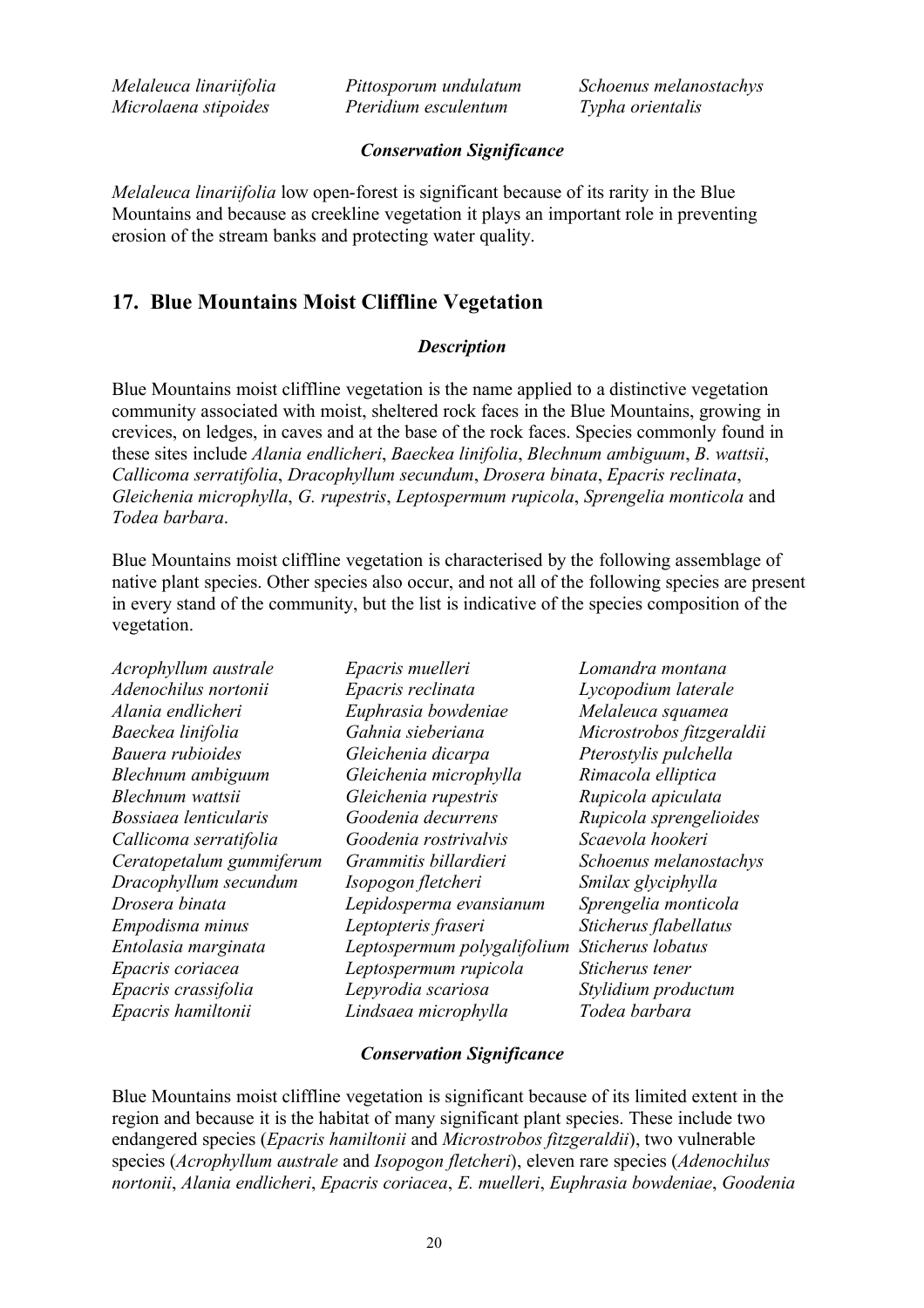*Melaleuca linariifolia Microlaena stipoides*

*Pittosporum undulatum Pteridium esculentum*

*Schoenus melanostachys Typha orientalis*

#### *Conservation Significance*

*Melaleuca linariifolia* low open-forest is significant because of its rarity in the Blue Mountains and because as creekline vegetation it plays an important role in preventing erosion of the stream banks and protecting water quality.

## **17. Blue Mountains Moist Cliffline Vegetation**

#### *Description*

Blue Mountains moist cliffline vegetation is the name applied to a distinctive vegetation community associated with moist, sheltered rock faces in the Blue Mountains, growing in crevices, on ledges, in caves and at the base of the rock faces. Species commonly found in these sites include *Alania endlicheri*, *Baeckea linifolia*, *Blechnum ambiguum*, *B. wattsii*, *Callicoma serratifolia*, *Dracophyllum secundum*, *Drosera binata*, *Epacris reclinata*, *Gleichenia microphylla*, *G. rupestris*, *Leptospermum rupicola*, *Sprengelia monticola* and *Todea barbara*.

Blue Mountains moist cliffline vegetation is characterised by the following assemblage of native plant species. Other species also occur, and not all of the following species are present in every stand of the community, but the list is indicative of the species composition of the vegetation.

| Acrophyllum australe     | Epacris muelleri            | Lomandra montana          |
|--------------------------|-----------------------------|---------------------------|
| Adenochilus nortonii     | Epacris reclinata           | Lycopodium laterale       |
| Alania endlicheri        | Euphrasia bowdeniae         | Melaleuca squamea         |
| Baeckea linifolia        | Gahnia sieberiana           | Microstrobos fitzgeraldii |
| Bauera rubioides         | Gleichenia dicarpa          | Pterostylis pulchella     |
| Blechnum ambiguum        | Gleichenia microphylla      | Rimacola elliptica        |
| Blechnum wattsii         | Gleichenia rupestris        | Rupicola apiculata        |
| Bossiaea lenticularis    | Goodenia decurrens          | Rupicola sprengelioides   |
| Callicoma serratifolia   | Goodenia rostrivalvis       | Scaevola hookeri          |
| Ceratopetalum gummiferum | Grammitis billardieri       | Schoenus melanostachys    |
| Dracophyllum secundum    | Isopogon fletcheri          | Smilax glyciphylla        |
| Drosera binata           | Lepidosperma evansianum     | Sprengelia monticola      |
| Empodisma minus          | Leptopteris fraseri         | Sticherus flabellatus     |
| Entolasia marginata      | Leptospermum polygalifolium | Sticherus lobatus         |
| Epacris coriacea         | Leptospermum rupicola       | Sticherus tener           |
| Epacris crassifolia      | Lepyrodia scariosa          | Stylidium productum       |
| Epacris hamiltonii       | Lindsaea microphylla        | Todea barbara             |
|                          |                             |                           |

#### *Conservation Significance*

Blue Mountains moist cliffline vegetation is significant because of its limited extent in the region and because it is the habitat of many significant plant species. These include two endangered species (*Epacris hamiltonii* and *Microstrobos fitzgeraldii*), two vulnerable species (*Acrophyllum australe* and *Isopogon fletcheri*), eleven rare species (*Adenochilus nortonii*, *Alania endlicheri*, *Epacris coriacea*, *E. muelleri*, *Euphrasia bowdeniae*, *Goodenia*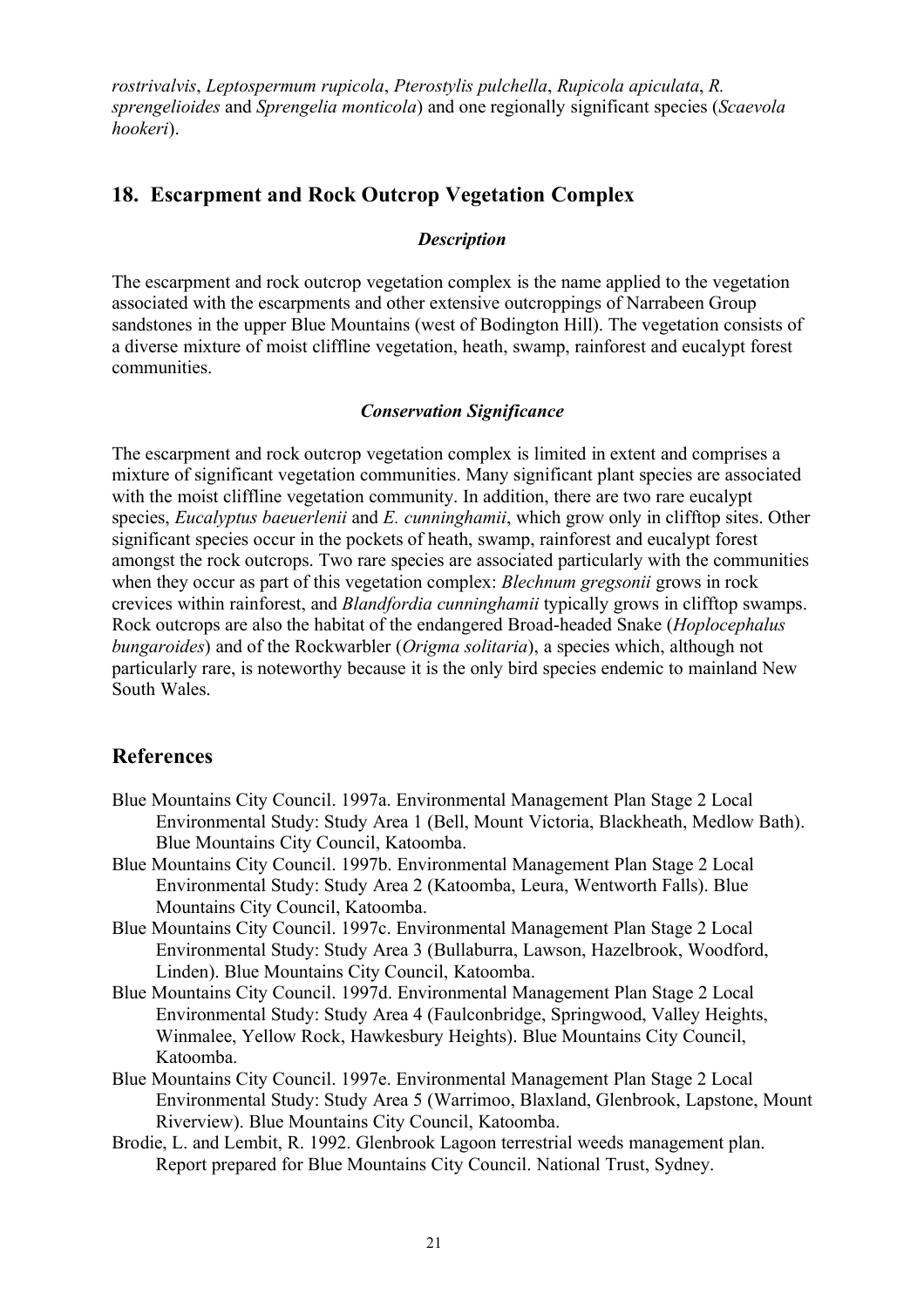*rostrivalvis*, *Leptospermum rupicola*, *Pterostylis pulchella*, *Rupicola apiculata*, *R. sprengelioides* and *Sprengelia monticola*) and one regionally significant species (*Scaevola hookeri*).

## **18. Escarpment and Rock Outcrop Vegetation Complex**

#### *Description*

The escarpment and rock outcrop vegetation complex is the name applied to the vegetation associated with the escarpments and other extensive outcroppings of Narrabeen Group sandstones in the upper Blue Mountains (west of Bodington Hill). The vegetation consists of a diverse mixture of moist cliffline vegetation, heath, swamp, rainforest and eucalypt forest communities.

#### *Conservation Significance*

The escarpment and rock outcrop vegetation complex is limited in extent and comprises a mixture of significant vegetation communities. Many significant plant species are associated with the moist cliffline vegetation community. In addition, there are two rare eucalypt species, *Eucalyptus baeuerlenii* and *E. cunninghamii*, which grow only in clifftop sites. Other significant species occur in the pockets of heath, swamp, rainforest and eucalypt forest amongst the rock outcrops. Two rare species are associated particularly with the communities when they occur as part of this vegetation complex: *Blechnum gregsonii* grows in rock crevices within rainforest, and *Blandfordia cunninghamii* typically grows in clifftop swamps. Rock outcrops are also the habitat of the endangered Broad-headed Snake (*Hoplocephalus bungaroides*) and of the Rockwarbler (*Origma solitaria*), a species which, although not particularly rare, is noteworthy because it is the only bird species endemic to mainland New South Wales.

## **References**

- Blue Mountains City Council. 1997a. Environmental Management Plan Stage 2 Local Environmental Study: Study Area 1 (Bell, Mount Victoria, Blackheath, Medlow Bath). Blue Mountains City Council, Katoomba.
- Blue Mountains City Council. 1997b. Environmental Management Plan Stage 2 Local Environmental Study: Study Area 2 (Katoomba, Leura, Wentworth Falls). Blue Mountains City Council, Katoomba.
- Blue Mountains City Council. 1997c. Environmental Management Plan Stage 2 Local Environmental Study: Study Area 3 (Bullaburra, Lawson, Hazelbrook, Woodford, Linden). Blue Mountains City Council, Katoomba.
- Blue Mountains City Council. 1997d. Environmental Management Plan Stage 2 Local Environmental Study: Study Area 4 (Faulconbridge, Springwood, Valley Heights, Winmalee, Yellow Rock, Hawkesbury Heights). Blue Mountains City Council, Katoomba.
- Blue Mountains City Council. 1997e. Environmental Management Plan Stage 2 Local Environmental Study: Study Area 5 (Warrimoo, Blaxland, Glenbrook, Lapstone, Mount Riverview). Blue Mountains City Council, Katoomba.
- Brodie, L. and Lembit, R. 1992. Glenbrook Lagoon terrestrial weeds management plan. Report prepared for Blue Mountains City Council. National Trust, Sydney.